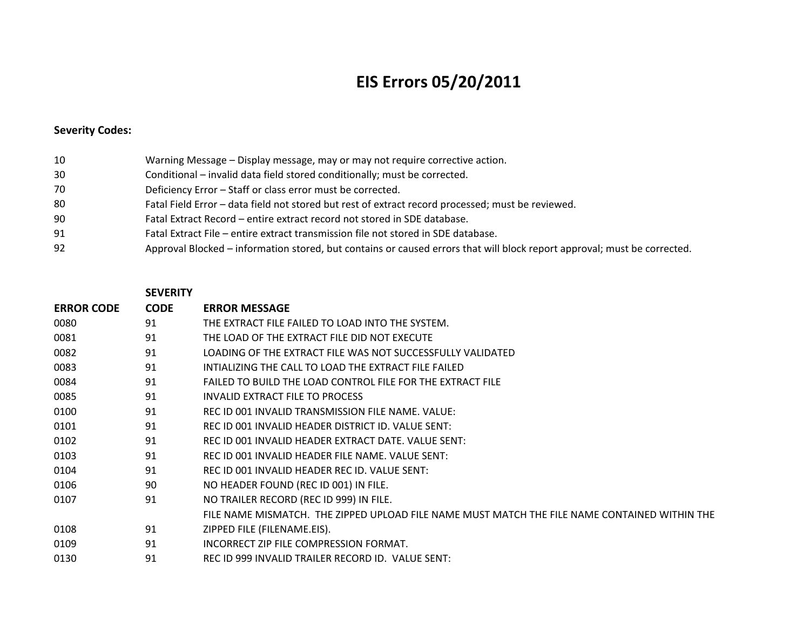## **EIS Errors 05/20/2011**

## **Severity Codes:**

| 10  | Warning Message – Display message, may or may not require corrective action.                                             |
|-----|--------------------------------------------------------------------------------------------------------------------------|
| 30  | Conditional – invalid data field stored conditionally; must be corrected.                                                |
| 70  | Deficiency Error - Staff or class error must be corrected.                                                               |
| -80 | Fatal Field Error - data field not stored but rest of extract record processed; must be reviewed.                        |
| 90  | Fatal Extract Record – entire extract record not stored in SDE database.                                                 |
| 91  | Fatal Extract File – entire extract transmission file not stored in SDE database.                                        |
| 92  | Approval Blocked – information stored, but contains or caused errors that will block report approval; must be corrected. |

## **SEVERITY**

| <b>ERROR CODE</b> | <b>CODE</b> | <b>ERROR MESSAGE</b>                                                                          |
|-------------------|-------------|-----------------------------------------------------------------------------------------------|
| 0080              | 91          | THE EXTRACT FILE FAILED TO LOAD INTO THE SYSTEM.                                              |
| 0081              | 91          | THE LOAD OF THE EXTRACT FILE DID NOT EXECUTE                                                  |
| 0082              | 91          | LOADING OF THE EXTRACT FILE WAS NOT SUCCESSFULLY VALIDATED                                    |
| 0083              | 91          | INTIALIZING THE CALL TO LOAD THE EXTRACT FILE FAILED                                          |
| 0084              | 91          | FAILED TO BUILD THE LOAD CONTROL FILE FOR THE EXTRACT FILE                                    |
| 0085              | 91          | INVALID EXTRACT FILE TO PROCESS                                                               |
| 0100              | 91          | REC ID 001 INVALID TRANSMISSION FILE NAME. VALUE:                                             |
| 0101              | 91          | REC ID 001 INVALID HEADER DISTRICT ID. VALUE SENT:                                            |
| 0102              | 91          | REC ID 001 INVALID HEADER EXTRACT DATE. VALUE SENT:                                           |
| 0103              | 91          | REC ID 001 INVALID HEADER FILE NAME. VALUE SENT:                                              |
| 0104              | 91          | REC ID 001 INVALID HEADER REC ID. VALUE SENT:                                                 |
| 0106              | 90          | NO HEADER FOUND (REC ID 001) IN FILE.                                                         |
| 0107              | 91          | NO TRAILER RECORD (REC ID 999) IN FILE.                                                       |
|                   |             | FILE NAME MISMATCH. THE ZIPPED UPLOAD FILE NAME MUST MATCH THE FILE NAME CONTAINED WITHIN THE |
| 0108              | 91          | ZIPPED FILE (FILENAME.EIS).                                                                   |
| 0109              | 91          | INCORRECT ZIP FILE COMPRESSION FORMAT.                                                        |
| 0130              | 91          | REC ID 999 INVALID TRAILER RECORD ID. VALUE SENT:                                             |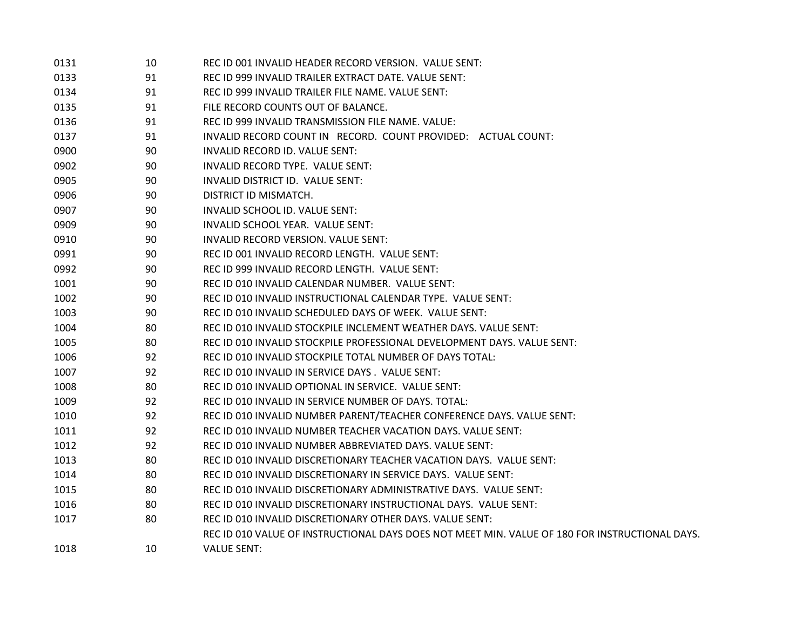| 0131 | 10 | REC ID 001 INVALID HEADER RECORD VERSION. VALUE SENT:                                          |
|------|----|------------------------------------------------------------------------------------------------|
| 0133 | 91 | REC ID 999 INVALID TRAILER EXTRACT DATE. VALUE SENT:                                           |
| 0134 | 91 | REC ID 999 INVALID TRAILER FILE NAME. VALUE SENT:                                              |
| 0135 | 91 | FILE RECORD COUNTS OUT OF BALANCE.                                                             |
| 0136 | 91 | REC ID 999 INVALID TRANSMISSION FILE NAME. VALUE:                                              |
| 0137 | 91 | INVALID RECORD COUNT IN RECORD. COUNT PROVIDED: ACTUAL COUNT:                                  |
| 0900 | 90 | INVALID RECORD ID. VALUE SENT:                                                                 |
| 0902 | 90 | INVALID RECORD TYPE. VALUE SENT:                                                               |
| 0905 | 90 | INVALID DISTRICT ID. VALUE SENT:                                                               |
| 0906 | 90 | DISTRICT ID MISMATCH.                                                                          |
| 0907 | 90 | INVALID SCHOOL ID. VALUE SENT:                                                                 |
| 0909 | 90 | INVALID SCHOOL YEAR. VALUE SENT:                                                               |
| 0910 | 90 | INVALID RECORD VERSION. VALUE SENT:                                                            |
| 0991 | 90 | REC ID 001 INVALID RECORD LENGTH. VALUE SENT:                                                  |
| 0992 | 90 | REC ID 999 INVALID RECORD LENGTH. VALUE SENT:                                                  |
| 1001 | 90 | REC ID 010 INVALID CALENDAR NUMBER. VALUE SENT:                                                |
| 1002 | 90 | REC ID 010 INVALID INSTRUCTIONAL CALENDAR TYPE. VALUE SENT:                                    |
| 1003 | 90 | REC ID 010 INVALID SCHEDULED DAYS OF WEEK. VALUE SENT:                                         |
| 1004 | 80 | REC ID 010 INVALID STOCKPILE INCLEMENT WEATHER DAYS. VALUE SENT:                               |
| 1005 | 80 | REC ID 010 INVALID STOCKPILE PROFESSIONAL DEVELOPMENT DAYS. VALUE SENT:                        |
| 1006 | 92 | REC ID 010 INVALID STOCKPILE TOTAL NUMBER OF DAYS TOTAL:                                       |
| 1007 | 92 | REC ID 010 INVALID IN SERVICE DAYS. VALUE SENT:                                                |
| 1008 | 80 | REC ID 010 INVALID OPTIONAL IN SERVICE. VALUE SENT:                                            |
| 1009 | 92 | REC ID 010 INVALID IN SERVICE NUMBER OF DAYS, TOTAL:                                           |
| 1010 | 92 | REC ID 010 INVALID NUMBER PARENT/TEACHER CONFERENCE DAYS. VALUE SENT:                          |
| 1011 | 92 | REC ID 010 INVALID NUMBER TEACHER VACATION DAYS. VALUE SENT:                                   |
| 1012 | 92 | REC ID 010 INVALID NUMBER ABBREVIATED DAYS. VALUE SENT:                                        |
| 1013 | 80 | REC ID 010 INVALID DISCRETIONARY TEACHER VACATION DAYS. VALUE SENT:                            |
| 1014 | 80 | REC ID 010 INVALID DISCRETIONARY IN SERVICE DAYS. VALUE SENT:                                  |
| 1015 | 80 | REC ID 010 INVALID DISCRETIONARY ADMINISTRATIVE DAYS. VALUE SENT:                              |
| 1016 | 80 | REC ID 010 INVALID DISCRETIONARY INSTRUCTIONAL DAYS. VALUE SENT:                               |
| 1017 | 80 | REC ID 010 INVALID DISCRETIONARY OTHER DAYS. VALUE SENT:                                       |
|      |    | REC ID 010 VALUE OF INSTRUCTIONAL DAYS DOES NOT MEET MIN. VALUE OF 180 FOR INSTRUCTIONAL DAYS. |
| 1018 | 10 | <b>VALUE SENT:</b>                                                                             |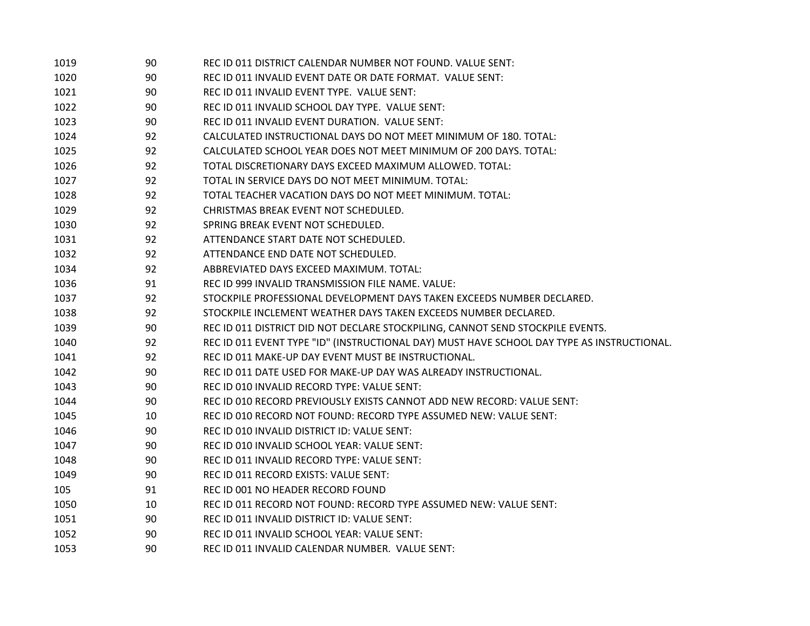| 1019 | 90 | REC ID 011 DISTRICT CALENDAR NUMBER NOT FOUND. VALUE SENT:                                 |
|------|----|--------------------------------------------------------------------------------------------|
| 1020 | 90 | REC ID 011 INVALID EVENT DATE OR DATE FORMAT. VALUE SENT:                                  |
| 1021 | 90 | REC ID 011 INVALID EVENT TYPE. VALUE SENT:                                                 |
| 1022 | 90 | REC ID 011 INVALID SCHOOL DAY TYPE. VALUE SENT:                                            |
| 1023 | 90 | REC ID 011 INVALID EVENT DURATION. VALUE SENT:                                             |
| 1024 | 92 | CALCULATED INSTRUCTIONAL DAYS DO NOT MEET MINIMUM OF 180. TOTAL:                           |
| 1025 | 92 | CALCULATED SCHOOL YEAR DOES NOT MEET MINIMUM OF 200 DAYS. TOTAL:                           |
| 1026 | 92 | TOTAL DISCRETIONARY DAYS EXCEED MAXIMUM ALLOWED. TOTAL:                                    |
| 1027 | 92 | TOTAL IN SERVICE DAYS DO NOT MEET MINIMUM. TOTAL:                                          |
| 1028 | 92 | TOTAL TEACHER VACATION DAYS DO NOT MEET MINIMUM. TOTAL:                                    |
| 1029 | 92 | CHRISTMAS BREAK EVENT NOT SCHEDULED.                                                       |
| 1030 | 92 | SPRING BREAK EVENT NOT SCHEDULED.                                                          |
| 1031 | 92 | ATTENDANCE START DATE NOT SCHEDULED.                                                       |
| 1032 | 92 | ATTENDANCE END DATE NOT SCHEDULED.                                                         |
| 1034 | 92 | ABBREVIATED DAYS EXCEED MAXIMUM. TOTAL:                                                    |
| 1036 | 91 | REC ID 999 INVALID TRANSMISSION FILE NAME. VALUE:                                          |
| 1037 | 92 | STOCKPILE PROFESSIONAL DEVELOPMENT DAYS TAKEN EXCEEDS NUMBER DECLARED.                     |
| 1038 | 92 | STOCKPILE INCLEMENT WEATHER DAYS TAKEN EXCEEDS NUMBER DECLARED.                            |
| 1039 | 90 | REC ID 011 DISTRICT DID NOT DECLARE STOCKPILING, CANNOT SEND STOCKPILE EVENTS.             |
| 1040 | 92 | REC ID 011 EVENT TYPE "ID" (INSTRUCTIONAL DAY) MUST HAVE SCHOOL DAY TYPE AS INSTRUCTIONAL. |
| 1041 | 92 | REC ID 011 MAKE-UP DAY EVENT MUST BE INSTRUCTIONAL.                                        |
| 1042 | 90 | REC ID 011 DATE USED FOR MAKE-UP DAY WAS ALREADY INSTRUCTIONAL.                            |
| 1043 | 90 | REC ID 010 INVALID RECORD TYPE: VALUE SENT:                                                |
| 1044 | 90 | REC ID 010 RECORD PREVIOUSLY EXISTS CANNOT ADD NEW RECORD: VALUE SENT:                     |
| 1045 | 10 | REC ID 010 RECORD NOT FOUND: RECORD TYPE ASSUMED NEW: VALUE SENT:                          |
| 1046 | 90 | REC ID 010 INVALID DISTRICT ID: VALUE SENT:                                                |
| 1047 | 90 | REC ID 010 INVALID SCHOOL YEAR: VALUE SENT:                                                |
| 1048 | 90 | REC ID 011 INVALID RECORD TYPE: VALUE SENT:                                                |
| 1049 | 90 | REC ID 011 RECORD EXISTS: VALUE SENT:                                                      |
| 105  | 91 | REC ID 001 NO HEADER RECORD FOUND                                                          |
| 1050 | 10 | REC ID 011 RECORD NOT FOUND: RECORD TYPE ASSUMED NEW: VALUE SENT:                          |
| 1051 | 90 | REC ID 011 INVALID DISTRICT ID: VALUE SENT:                                                |
| 1052 | 90 | REC ID 011 INVALID SCHOOL YEAR: VALUE SENT:                                                |
| 1053 | 90 | REC ID 011 INVALID CALENDAR NUMBER. VALUE SENT:                                            |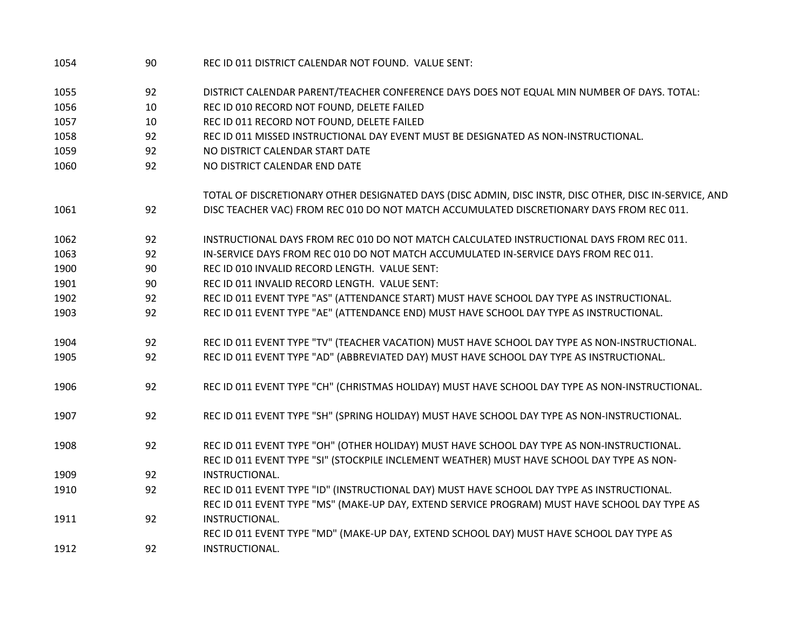| 1054 | 90 | REC ID 011 DISTRICT CALENDAR NOT FOUND. VALUE SENT:                                                    |
|------|----|--------------------------------------------------------------------------------------------------------|
| 1055 | 92 | DISTRICT CALENDAR PARENT/TEACHER CONFERENCE DAYS DOES NOT EQUAL MIN NUMBER OF DAYS. TOTAL:             |
| 1056 | 10 | REC ID 010 RECORD NOT FOUND, DELETE FAILED                                                             |
| 1057 | 10 | REC ID 011 RECORD NOT FOUND, DELETE FAILED                                                             |
| 1058 | 92 | REC ID 011 MISSED INSTRUCTIONAL DAY EVENT MUST BE DESIGNATED AS NON-INSTRUCTIONAL.                     |
| 1059 | 92 | NO DISTRICT CALENDAR START DATE                                                                        |
| 1060 | 92 | NO DISTRICT CALENDAR END DATE                                                                          |
|      |    | TOTAL OF DISCRETIONARY OTHER DESIGNATED DAYS (DISC ADMIN, DISC INSTR, DISC OTHER, DISC IN-SERVICE, AND |
| 1061 | 92 | DISC TEACHER VAC) FROM REC 010 DO NOT MATCH ACCUMULATED DISCRETIONARY DAYS FROM REC 011.               |
| 1062 | 92 | INSTRUCTIONAL DAYS FROM REC 010 DO NOT MATCH CALCULATED INSTRUCTIONAL DAYS FROM REC 011.               |
| 1063 | 92 | IN-SERVICE DAYS FROM REC 010 DO NOT MATCH ACCUMULATED IN-SERVICE DAYS FROM REC 011.                    |
| 1900 | 90 | REC ID 010 INVALID RECORD LENGTH. VALUE SENT:                                                          |
| 1901 | 90 | REC ID 011 INVALID RECORD LENGTH. VALUE SENT:                                                          |
| 1902 | 92 | REC ID 011 EVENT TYPE "AS" (ATTENDANCE START) MUST HAVE SCHOOL DAY TYPE AS INSTRUCTIONAL.              |
| 1903 | 92 | REC ID 011 EVENT TYPE "AE" (ATTENDANCE END) MUST HAVE SCHOOL DAY TYPE AS INSTRUCTIONAL.                |
| 1904 | 92 | REC ID 011 EVENT TYPE "TV" (TEACHER VACATION) MUST HAVE SCHOOL DAY TYPE AS NON-INSTRUCTIONAL.          |
| 1905 | 92 | REC ID 011 EVENT TYPE "AD" (ABBREVIATED DAY) MUST HAVE SCHOOL DAY TYPE AS INSTRUCTIONAL.               |
| 1906 | 92 | REC ID 011 EVENT TYPE "CH" (CHRISTMAS HOLIDAY) MUST HAVE SCHOOL DAY TYPE AS NON-INSTRUCTIONAL.         |
| 1907 | 92 | REC ID 011 EVENT TYPE "SH" (SPRING HOLIDAY) MUST HAVE SCHOOL DAY TYPE AS NON-INSTRUCTIONAL.            |
| 1908 | 92 | REC ID 011 EVENT TYPE "OH" (OTHER HOLIDAY) MUST HAVE SCHOOL DAY TYPE AS NON-INSTRUCTIONAL.             |
|      |    | REC ID 011 EVENT TYPE "SI" (STOCKPILE INCLEMENT WEATHER) MUST HAVE SCHOOL DAY TYPE AS NON-             |
| 1909 | 92 | INSTRUCTIONAL.                                                                                         |
| 1910 | 92 | REC ID 011 EVENT TYPE "ID" (INSTRUCTIONAL DAY) MUST HAVE SCHOOL DAY TYPE AS INSTRUCTIONAL.             |
|      |    | REC ID 011 EVENT TYPE "MS" (MAKE-UP DAY, EXTEND SERVICE PROGRAM) MUST HAVE SCHOOL DAY TYPE AS          |
| 1911 | 92 | INSTRUCTIONAL.                                                                                         |
|      |    | REC ID 011 EVENT TYPE "MD" (MAKE-UP DAY, EXTEND SCHOOL DAY) MUST HAVE SCHOOL DAY TYPE AS               |
| 1912 | 92 | INSTRUCTIONAL.                                                                                         |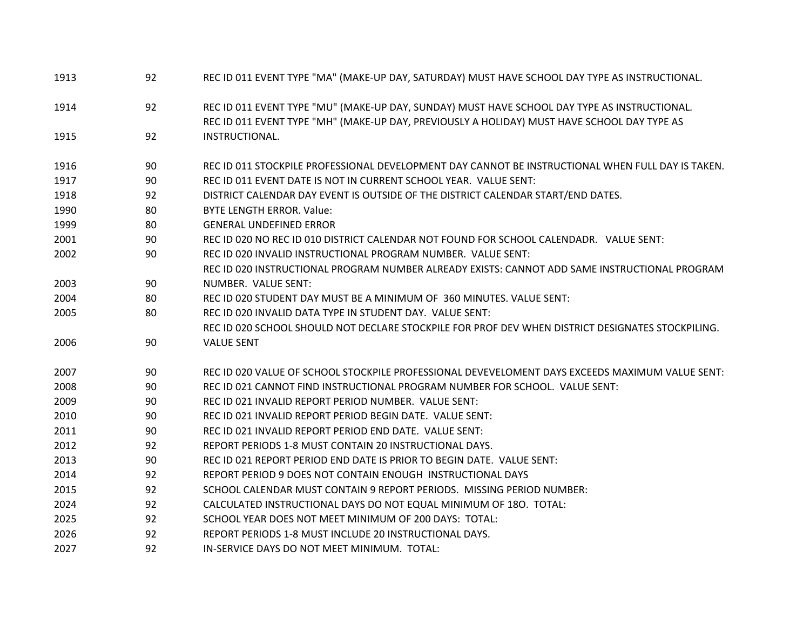| 1913 | 92 | REC ID 011 EVENT TYPE "MA" (MAKE-UP DAY, SATURDAY) MUST HAVE SCHOOL DAY TYPE AS INSTRUCTIONAL.    |
|------|----|---------------------------------------------------------------------------------------------------|
| 1914 | 92 | REC ID 011 EVENT TYPE "MU" (MAKE-UP DAY, SUNDAY) MUST HAVE SCHOOL DAY TYPE AS INSTRUCTIONAL.      |
|      |    | REC ID 011 EVENT TYPE "MH" (MAKE-UP DAY, PREVIOUSLY A HOLIDAY) MUST HAVE SCHOOL DAY TYPE AS       |
| 1915 | 92 | INSTRUCTIONAL.                                                                                    |
| 1916 | 90 | REC ID 011 STOCKPILE PROFESSIONAL DEVELOPMENT DAY CANNOT BE INSTRUCTIONAL WHEN FULL DAY IS TAKEN. |
| 1917 | 90 | REC ID 011 EVENT DATE IS NOT IN CURRENT SCHOOL YEAR. VALUE SENT:                                  |
| 1918 | 92 | DISTRICT CALENDAR DAY EVENT IS OUTSIDE OF THE DISTRICT CALENDAR START/END DATES.                  |
| 1990 | 80 | <b>BYTE LENGTH ERROR, Value:</b>                                                                  |
| 1999 | 80 | <b>GENERAL UNDEFINED ERROR</b>                                                                    |
| 2001 | 90 | REC ID 020 NO REC ID 010 DISTRICT CALENDAR NOT FOUND FOR SCHOOL CALENDADR. VALUE SENT:            |
| 2002 | 90 | REC ID 020 INVALID INSTRUCTIONAL PROGRAM NUMBER. VALUE SENT:                                      |
|      |    | REC ID 020 INSTRUCTIONAL PROGRAM NUMBER ALREADY EXISTS: CANNOT ADD SAME INSTRUCTIONAL PROGRAM     |
| 2003 | 90 | NUMBER. VALUE SENT:                                                                               |
| 2004 | 80 | REC ID 020 STUDENT DAY MUST BE A MINIMUM OF 360 MINUTES. VALUE SENT:                              |
| 2005 | 80 | REC ID 020 INVALID DATA TYPE IN STUDENT DAY. VALUE SENT:                                          |
|      |    | REC ID 020 SCHOOL SHOULD NOT DECLARE STOCKPILE FOR PROF DEV WHEN DISTRICT DESIGNATES STOCKPILING. |
| 2006 | 90 | <b>VALUE SENT</b>                                                                                 |
| 2007 | 90 | REC ID 020 VALUE OF SCHOOL STOCKPILE PROFESSIONAL DEVEVELOMENT DAYS EXCEEDS MAXIMUM VALUE SENT:   |
| 2008 | 90 | REC ID 021 CANNOT FIND INSTRUCTIONAL PROGRAM NUMBER FOR SCHOOL. VALUE SENT:                       |
| 2009 | 90 | REC ID 021 INVALID REPORT PERIOD NUMBER. VALUE SENT:                                              |
| 2010 | 90 | REC ID 021 INVALID REPORT PERIOD BEGIN DATE. VALUE SENT:                                          |
| 2011 | 90 | REC ID 021 INVALID REPORT PERIOD END DATE. VALUE SENT:                                            |
| 2012 | 92 | REPORT PERIODS 1-8 MUST CONTAIN 20 INSTRUCTIONAL DAYS.                                            |
| 2013 | 90 | REC ID 021 REPORT PERIOD END DATE IS PRIOR TO BEGIN DATE. VALUE SENT:                             |
| 2014 | 92 | REPORT PERIOD 9 DOES NOT CONTAIN ENOUGH INSTRUCTIONAL DAYS                                        |
| 2015 | 92 | SCHOOL CALENDAR MUST CONTAIN 9 REPORT PERIODS. MISSING PERIOD NUMBER:                             |
| 2024 | 92 | CALCULATED INSTRUCTIONAL DAYS DO NOT EQUAL MINIMUM OF 180. TOTAL:                                 |
| 2025 | 92 | SCHOOL YEAR DOES NOT MEET MINIMUM OF 200 DAYS: TOTAL:                                             |
| 2026 | 92 | REPORT PERIODS 1-8 MUST INCLUDE 20 INSTRUCTIONAL DAYS.                                            |
| 2027 | 92 | IN-SERVICE DAYS DO NOT MEET MINIMUM. TOTAL:                                                       |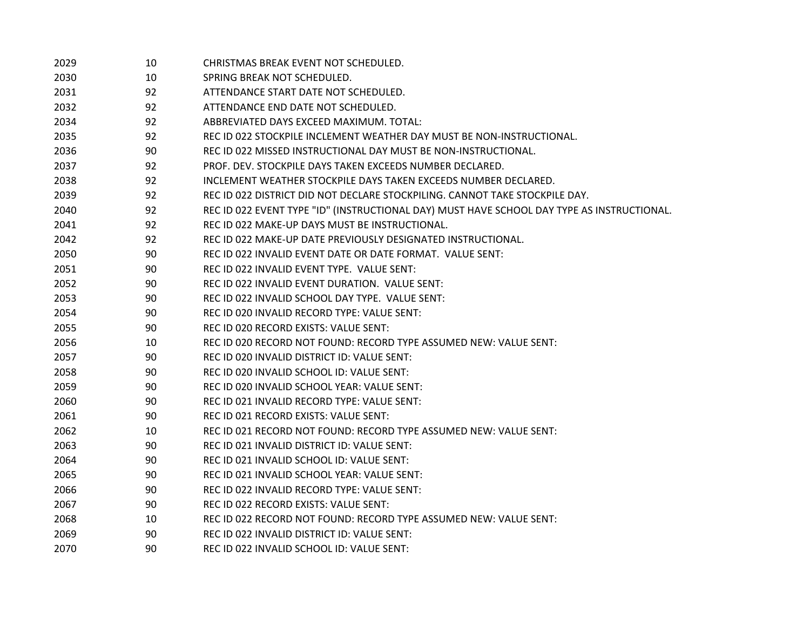| 2029 | 10 | CHRISTMAS BREAK EVENT NOT SCHEDULED.                                                       |
|------|----|--------------------------------------------------------------------------------------------|
| 2030 | 10 | SPRING BREAK NOT SCHEDULED.                                                                |
| 2031 | 92 | ATTENDANCE START DATE NOT SCHEDULED.                                                       |
| 2032 | 92 | ATTENDANCE END DATE NOT SCHEDULED.                                                         |
| 2034 | 92 | ABBREVIATED DAYS EXCEED MAXIMUM. TOTAL:                                                    |
| 2035 | 92 | REC ID 022 STOCKPILE INCLEMENT WEATHER DAY MUST BE NON-INSTRUCTIONAL.                      |
| 2036 | 90 | REC ID 022 MISSED INSTRUCTIONAL DAY MUST BE NON-INSTRUCTIONAL.                             |
| 2037 | 92 | PROF. DEV. STOCKPILE DAYS TAKEN EXCEEDS NUMBER DECLARED.                                   |
| 2038 | 92 | INCLEMENT WEATHER STOCKPILE DAYS TAKEN EXCEEDS NUMBER DECLARED.                            |
| 2039 | 92 | REC ID 022 DISTRICT DID NOT DECLARE STOCKPILING. CANNOT TAKE STOCKPILE DAY.                |
| 2040 | 92 | REC ID 022 EVENT TYPE "ID" (INSTRUCTIONAL DAY) MUST HAVE SCHOOL DAY TYPE AS INSTRUCTIONAL. |
| 2041 | 92 | REC ID 022 MAKE-UP DAYS MUST BE INSTRUCTIONAL.                                             |
| 2042 | 92 | REC ID 022 MAKE-UP DATE PREVIOUSLY DESIGNATED INSTRUCTIONAL.                               |
| 2050 | 90 | REC ID 022 INVALID EVENT DATE OR DATE FORMAT. VALUE SENT:                                  |
| 2051 | 90 | REC ID 022 INVALID EVENT TYPE. VALUE SENT:                                                 |
| 2052 | 90 | REC ID 022 INVALID EVENT DURATION. VALUE SENT:                                             |
| 2053 | 90 | REC ID 022 INVALID SCHOOL DAY TYPE. VALUE SENT:                                            |
| 2054 | 90 | REC ID 020 INVALID RECORD TYPE: VALUE SENT:                                                |
| 2055 | 90 | REC ID 020 RECORD EXISTS: VALUE SENT:                                                      |
| 2056 | 10 | REC ID 020 RECORD NOT FOUND: RECORD TYPE ASSUMED NEW: VALUE SENT:                          |
| 2057 | 90 | REC ID 020 INVALID DISTRICT ID: VALUE SENT:                                                |
| 2058 | 90 | REC ID 020 INVALID SCHOOL ID: VALUE SENT:                                                  |
| 2059 | 90 | REC ID 020 INVALID SCHOOL YEAR: VALUE SENT:                                                |
| 2060 | 90 | REC ID 021 INVALID RECORD TYPE: VALUE SENT:                                                |
| 2061 | 90 | REC ID 021 RECORD EXISTS: VALUE SENT:                                                      |
| 2062 | 10 | REC ID 021 RECORD NOT FOUND: RECORD TYPE ASSUMED NEW: VALUE SENT:                          |
| 2063 | 90 | REC ID 021 INVALID DISTRICT ID: VALUE SENT:                                                |
| 2064 | 90 | REC ID 021 INVALID SCHOOL ID: VALUE SENT:                                                  |
| 2065 | 90 | REC ID 021 INVALID SCHOOL YEAR: VALUE SENT:                                                |
| 2066 | 90 | REC ID 022 INVALID RECORD TYPE: VALUE SENT:                                                |
| 2067 | 90 | REC ID 022 RECORD EXISTS: VALUE SENT:                                                      |
| 2068 | 10 | REC ID 022 RECORD NOT FOUND: RECORD TYPE ASSUMED NEW: VALUE SENT:                          |
| 2069 | 90 | REC ID 022 INVALID DISTRICT ID: VALUE SENT:                                                |
| 2070 | 90 | REC ID 022 INVALID SCHOOL ID: VALUE SENT:                                                  |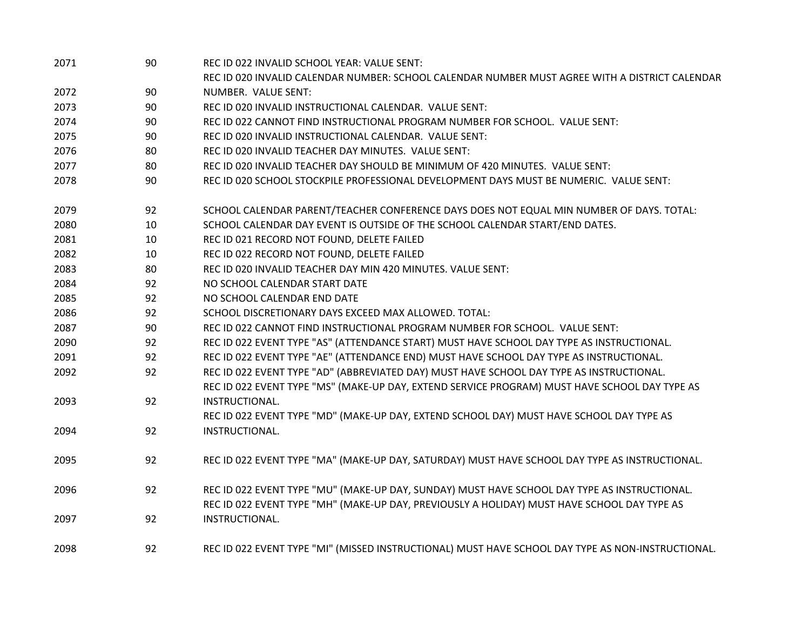| 2071 | 90 | REC ID 022 INVALID SCHOOL YEAR: VALUE SENT:                                                       |
|------|----|---------------------------------------------------------------------------------------------------|
|      |    | REC ID 020 INVALID CALENDAR NUMBER: SCHOOL CALENDAR NUMBER MUST AGREE WITH A DISTRICT CALENDAR    |
| 2072 | 90 | NUMBER. VALUE SENT:                                                                               |
| 2073 | 90 | REC ID 020 INVALID INSTRUCTIONAL CALENDAR. VALUE SENT:                                            |
| 2074 | 90 | REC ID 022 CANNOT FIND INSTRUCTIONAL PROGRAM NUMBER FOR SCHOOL. VALUE SENT:                       |
| 2075 | 90 | REC ID 020 INVALID INSTRUCTIONAL CALENDAR. VALUE SENT:                                            |
| 2076 | 80 | REC ID 020 INVALID TEACHER DAY MINUTES. VALUE SENT:                                               |
| 2077 | 80 | REC ID 020 INVALID TEACHER DAY SHOULD BE MINIMUM OF 420 MINUTES. VALUE SENT:                      |
| 2078 | 90 | REC ID 020 SCHOOL STOCKPILE PROFESSIONAL DEVELOPMENT DAYS MUST BE NUMERIC. VALUE SENT:            |
| 2079 | 92 | SCHOOL CALENDAR PARENT/TEACHER CONFERENCE DAYS DOES NOT EQUAL MIN NUMBER OF DAYS. TOTAL:          |
| 2080 | 10 | SCHOOL CALENDAR DAY EVENT IS OUTSIDE OF THE SCHOOL CALENDAR START/END DATES.                      |
| 2081 | 10 | REC ID 021 RECORD NOT FOUND, DELETE FAILED                                                        |
| 2082 | 10 | REC ID 022 RECORD NOT FOUND, DELETE FAILED                                                        |
| 2083 | 80 | REC ID 020 INVALID TEACHER DAY MIN 420 MINUTES. VALUE SENT:                                       |
| 2084 | 92 | NO SCHOOL CALENDAR START DATE                                                                     |
| 2085 | 92 | NO SCHOOL CALENDAR END DATE                                                                       |
| 2086 | 92 | SCHOOL DISCRETIONARY DAYS EXCEED MAX ALLOWED. TOTAL:                                              |
| 2087 | 90 | REC ID 022 CANNOT FIND INSTRUCTIONAL PROGRAM NUMBER FOR SCHOOL. VALUE SENT:                       |
| 2090 | 92 | REC ID 022 EVENT TYPE "AS" (ATTENDANCE START) MUST HAVE SCHOOL DAY TYPE AS INSTRUCTIONAL.         |
| 2091 | 92 | REC ID 022 EVENT TYPE "AE" (ATTENDANCE END) MUST HAVE SCHOOL DAY TYPE AS INSTRUCTIONAL.           |
| 2092 | 92 | REC ID 022 EVENT TYPE "AD" (ABBREVIATED DAY) MUST HAVE SCHOOL DAY TYPE AS INSTRUCTIONAL.          |
|      |    | REC ID 022 EVENT TYPE "MS" (MAKE-UP DAY, EXTEND SERVICE PROGRAM) MUST HAVE SCHOOL DAY TYPE AS     |
| 2093 | 92 | INSTRUCTIONAL.                                                                                    |
|      |    | REC ID 022 EVENT TYPE "MD" (MAKE-UP DAY, EXTEND SCHOOL DAY) MUST HAVE SCHOOL DAY TYPE AS          |
| 2094 | 92 | INSTRUCTIONAL.                                                                                    |
| 2095 | 92 | REC ID 022 EVENT TYPE "MA" (MAKE-UP DAY, SATURDAY) MUST HAVE SCHOOL DAY TYPE AS INSTRUCTIONAL.    |
| 2096 | 92 | REC ID 022 EVENT TYPE "MU" (MAKE-UP DAY, SUNDAY) MUST HAVE SCHOOL DAY TYPE AS INSTRUCTIONAL.      |
|      |    | REC ID 022 EVENT TYPE "MH" (MAKE-UP DAY, PREVIOUSLY A HOLIDAY) MUST HAVE SCHOOL DAY TYPE AS       |
| 2097 | 92 | INSTRUCTIONAL.                                                                                    |
| 2098 | 92 | REC ID 022 EVENT TYPE "MI" (MISSED INSTRUCTIONAL) MUST HAVE SCHOOL DAY TYPE AS NON-INSTRUCTIONAL. |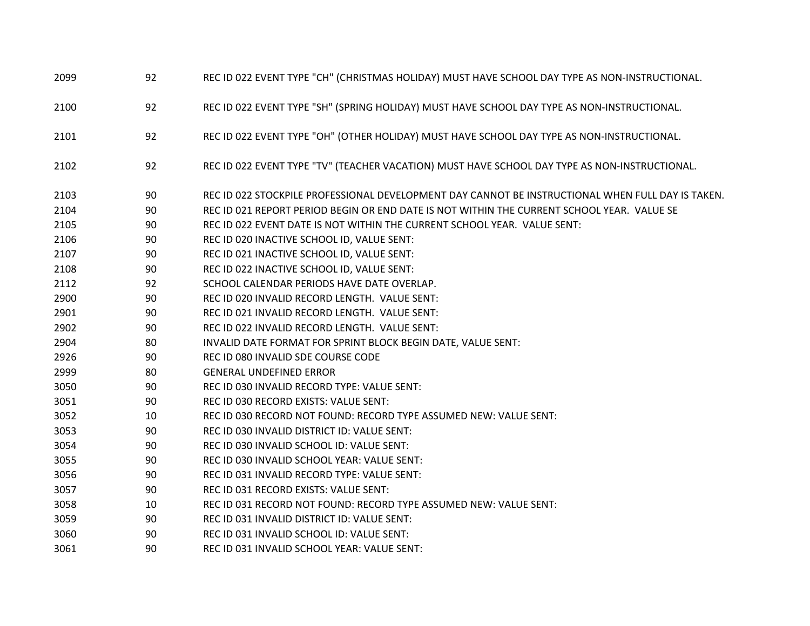| 2099 | 92 | REC ID 022 EVENT TYPE "CH" (CHRISTMAS HOLIDAY) MUST HAVE SCHOOL DAY TYPE AS NON-INSTRUCTIONAL.    |
|------|----|---------------------------------------------------------------------------------------------------|
| 2100 | 92 | REC ID 022 EVENT TYPE "SH" (SPRING HOLIDAY) MUST HAVE SCHOOL DAY TYPE AS NON-INSTRUCTIONAL.       |
| 2101 | 92 | REC ID 022 EVENT TYPE "OH" (OTHER HOLIDAY) MUST HAVE SCHOOL DAY TYPE AS NON-INSTRUCTIONAL.        |
| 2102 | 92 | REC ID 022 EVENT TYPE "TV" (TEACHER VACATION) MUST HAVE SCHOOL DAY TYPE AS NON-INSTRUCTIONAL.     |
| 2103 | 90 | REC ID 022 STOCKPILE PROFESSIONAL DEVELOPMENT DAY CANNOT BE INSTRUCTIONAL WHEN FULL DAY IS TAKEN. |
| 2104 | 90 | REC ID 021 REPORT PERIOD BEGIN OR END DATE IS NOT WITHIN THE CURRENT SCHOOL YEAR. VALUE SE        |
| 2105 | 90 | REC ID 022 EVENT DATE IS NOT WITHIN THE CURRENT SCHOOL YEAR. VALUE SENT:                          |
| 2106 | 90 | REC ID 020 INACTIVE SCHOOL ID, VALUE SENT:                                                        |
| 2107 | 90 | REC ID 021 INACTIVE SCHOOL ID, VALUE SENT:                                                        |
| 2108 | 90 | REC ID 022 INACTIVE SCHOOL ID, VALUE SENT:                                                        |
| 2112 | 92 | SCHOOL CALENDAR PERIODS HAVE DATE OVERLAP.                                                        |
| 2900 | 90 | REC ID 020 INVALID RECORD LENGTH. VALUE SENT:                                                     |
| 2901 | 90 | REC ID 021 INVALID RECORD LENGTH. VALUE SENT:                                                     |
| 2902 | 90 | REC ID 022 INVALID RECORD LENGTH. VALUE SENT:                                                     |
| 2904 | 80 | INVALID DATE FORMAT FOR SPRINT BLOCK BEGIN DATE, VALUE SENT:                                      |
| 2926 | 90 | REC ID 080 INVALID SDE COURSE CODE                                                                |
| 2999 | 80 | <b>GENERAL UNDEFINED ERROR</b>                                                                    |
| 3050 | 90 | REC ID 030 INVALID RECORD TYPE: VALUE SENT:                                                       |
| 3051 | 90 | REC ID 030 RECORD EXISTS: VALUE SENT:                                                             |
| 3052 | 10 | REC ID 030 RECORD NOT FOUND: RECORD TYPE ASSUMED NEW: VALUE SENT:                                 |
| 3053 | 90 | REC ID 030 INVALID DISTRICT ID: VALUE SENT:                                                       |
| 3054 | 90 | REC ID 030 INVALID SCHOOL ID: VALUE SENT:                                                         |
| 3055 | 90 | REC ID 030 INVALID SCHOOL YEAR: VALUE SENT:                                                       |
| 3056 | 90 | REC ID 031 INVALID RECORD TYPE: VALUE SENT:                                                       |
| 3057 | 90 | REC ID 031 RECORD EXISTS: VALUE SENT:                                                             |
| 3058 | 10 | REC ID 031 RECORD NOT FOUND: RECORD TYPE ASSUMED NEW: VALUE SENT:                                 |
| 3059 | 90 | REC ID 031 INVALID DISTRICT ID: VALUE SENT:                                                       |
| 3060 | 90 | REC ID 031 INVALID SCHOOL ID: VALUE SENT:                                                         |
| 3061 | 90 | REC ID 031 INVALID SCHOOL YEAR: VALUE SENT:                                                       |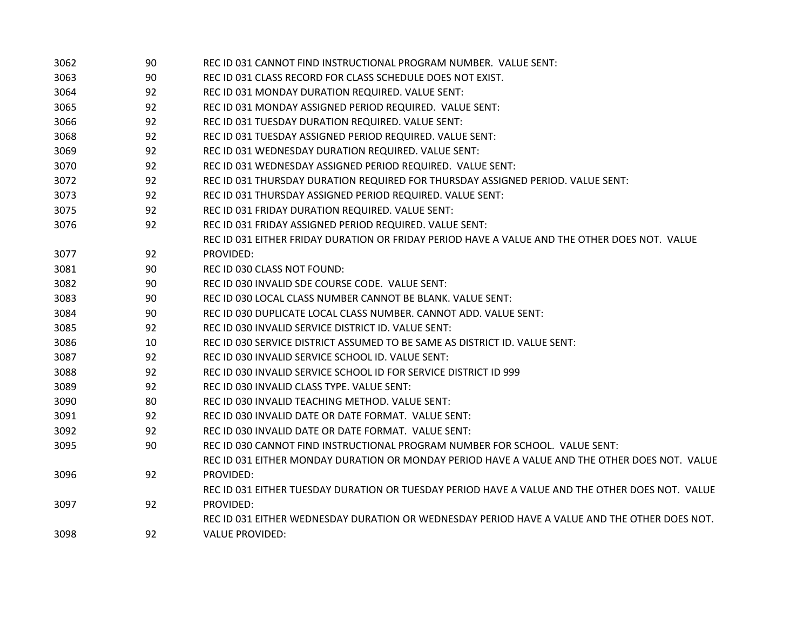| 3062 | 90 | REC ID 031 CANNOT FIND INSTRUCTIONAL PROGRAM NUMBER. VALUE SENT:                                |
|------|----|-------------------------------------------------------------------------------------------------|
| 3063 | 90 | REC ID 031 CLASS RECORD FOR CLASS SCHEDULE DOES NOT EXIST.                                      |
| 3064 | 92 | REC ID 031 MONDAY DURATION REQUIRED. VALUE SENT:                                                |
| 3065 | 92 | REC ID 031 MONDAY ASSIGNED PERIOD REQUIRED. VALUE SENT:                                         |
| 3066 | 92 | REC ID 031 TUESDAY DURATION REQUIRED. VALUE SENT:                                               |
| 3068 | 92 | REC ID 031 TUESDAY ASSIGNED PERIOD REQUIRED. VALUE SENT:                                        |
| 3069 | 92 | REC ID 031 WEDNESDAY DURATION REQUIRED. VALUE SENT:                                             |
| 3070 | 92 | REC ID 031 WEDNESDAY ASSIGNED PERIOD REQUIRED. VALUE SENT:                                      |
| 3072 | 92 | REC ID 031 THURSDAY DURATION REQUIRED FOR THURSDAY ASSIGNED PERIOD. VALUE SENT:                 |
| 3073 | 92 | REC ID 031 THURSDAY ASSIGNED PERIOD REQUIRED. VALUE SENT:                                       |
| 3075 | 92 | REC ID 031 FRIDAY DURATION REQUIRED. VALUE SENT:                                                |
| 3076 | 92 | REC ID 031 FRIDAY ASSIGNED PERIOD REQUIRED. VALUE SENT:                                         |
|      |    | REC ID 031 EITHER FRIDAY DURATION OR FRIDAY PERIOD HAVE A VALUE AND THE OTHER DOES NOT. VALUE   |
| 3077 | 92 | PROVIDED:                                                                                       |
| 3081 | 90 | REC ID 030 CLASS NOT FOUND:                                                                     |
| 3082 | 90 | REC ID 030 INVALID SDE COURSE CODE. VALUE SENT:                                                 |
| 3083 | 90 | REC ID 030 LOCAL CLASS NUMBER CANNOT BE BLANK. VALUE SENT:                                      |
| 3084 | 90 | REC ID 030 DUPLICATE LOCAL CLASS NUMBER. CANNOT ADD. VALUE SENT:                                |
| 3085 | 92 | REC ID 030 INVALID SERVICE DISTRICT ID. VALUE SENT:                                             |
| 3086 | 10 | REC ID 030 SERVICE DISTRICT ASSUMED TO BE SAME AS DISTRICT ID. VALUE SENT:                      |
| 3087 | 92 | REC ID 030 INVALID SERVICE SCHOOL ID. VALUE SENT:                                               |
| 3088 | 92 | REC ID 030 INVALID SERVICE SCHOOL ID FOR SERVICE DISTRICT ID 999                                |
| 3089 | 92 | REC ID 030 INVALID CLASS TYPE. VALUE SENT:                                                      |
| 3090 | 80 | REC ID 030 INVALID TEACHING METHOD. VALUE SENT:                                                 |
| 3091 | 92 | REC ID 030 INVALID DATE OR DATE FORMAT. VALUE SENT:                                             |
| 3092 | 92 | REC ID 030 INVALID DATE OR DATE FORMAT. VALUE SENT:                                             |
| 3095 | 90 | REC ID 030 CANNOT FIND INSTRUCTIONAL PROGRAM NUMBER FOR SCHOOL. VALUE SENT:                     |
|      |    | REC ID 031 EITHER MONDAY DURATION OR MONDAY PERIOD HAVE A VALUE AND THE OTHER DOES NOT. VALUE   |
| 3096 | 92 | PROVIDED:                                                                                       |
|      |    | REC ID 031 EITHER TUESDAY DURATION OR TUESDAY PERIOD HAVE A VALUE AND THE OTHER DOES NOT. VALUE |
| 3097 | 92 | PROVIDED:                                                                                       |
|      |    | REC ID 031 EITHER WEDNESDAY DURATION OR WEDNESDAY PERIOD HAVE A VALUE AND THE OTHER DOES NOT.   |
| 3098 | 92 | <b>VALUE PROVIDED:</b>                                                                          |
|      |    |                                                                                                 |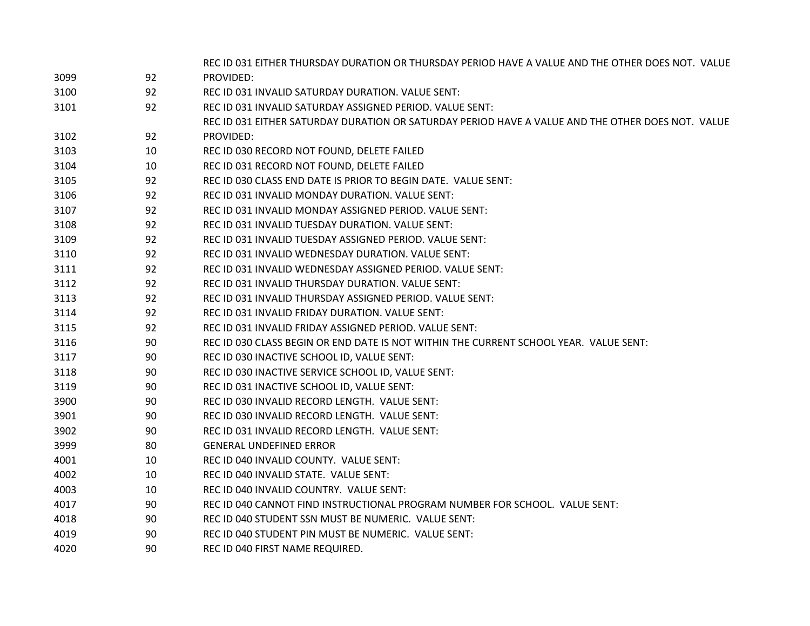|      |    | REC ID 031 EITHER THURSDAY DURATION OR THURSDAY PERIOD HAVE A VALUE AND THE OTHER DOES NOT. VALUE |
|------|----|---------------------------------------------------------------------------------------------------|
| 3099 | 92 | PROVIDED:                                                                                         |
| 3100 | 92 | REC ID 031 INVALID SATURDAY DURATION. VALUE SENT:                                                 |
| 3101 | 92 | REC ID 031 INVALID SATURDAY ASSIGNED PERIOD. VALUE SENT:                                          |
|      |    | REC ID 031 EITHER SATURDAY DURATION OR SATURDAY PERIOD HAVE A VALUE AND THE OTHER DOES NOT. VALUE |
| 3102 | 92 | PROVIDED:                                                                                         |
| 3103 | 10 | REC ID 030 RECORD NOT FOUND, DELETE FAILED                                                        |
| 3104 | 10 | REC ID 031 RECORD NOT FOUND, DELETE FAILED                                                        |
| 3105 | 92 | REC ID 030 CLASS END DATE IS PRIOR TO BEGIN DATE. VALUE SENT:                                     |
| 3106 | 92 | REC ID 031 INVALID MONDAY DURATION. VALUE SENT:                                                   |
| 3107 | 92 | REC ID 031 INVALID MONDAY ASSIGNED PERIOD. VALUE SENT:                                            |
| 3108 | 92 | REC ID 031 INVALID TUESDAY DURATION. VALUE SENT:                                                  |
| 3109 | 92 | REC ID 031 INVALID TUESDAY ASSIGNED PERIOD. VALUE SENT:                                           |
| 3110 | 92 | REC ID 031 INVALID WEDNESDAY DURATION. VALUE SENT:                                                |
| 3111 | 92 | REC ID 031 INVALID WEDNESDAY ASSIGNED PERIOD. VALUE SENT:                                         |
| 3112 | 92 | REC ID 031 INVALID THURSDAY DURATION. VALUE SENT:                                                 |
| 3113 | 92 | REC ID 031 INVALID THURSDAY ASSIGNED PERIOD. VALUE SENT:                                          |
| 3114 | 92 | REC ID 031 INVALID FRIDAY DURATION. VALUE SENT:                                                   |
| 3115 | 92 | REC ID 031 INVALID FRIDAY ASSIGNED PERIOD. VALUE SENT:                                            |
| 3116 | 90 | REC ID 030 CLASS BEGIN OR END DATE IS NOT WITHIN THE CURRENT SCHOOL YEAR. VALUE SENT:             |
| 3117 | 90 | REC ID 030 INACTIVE SCHOOL ID, VALUE SENT:                                                        |
| 3118 | 90 | REC ID 030 INACTIVE SERVICE SCHOOL ID, VALUE SENT:                                                |
| 3119 | 90 | REC ID 031 INACTIVE SCHOOL ID, VALUE SENT:                                                        |
| 3900 | 90 | REC ID 030 INVALID RECORD LENGTH. VALUE SENT:                                                     |
| 3901 | 90 | REC ID 030 INVALID RECORD LENGTH. VALUE SENT:                                                     |
| 3902 | 90 | REC ID 031 INVALID RECORD LENGTH. VALUE SENT:                                                     |
| 3999 | 80 | <b>GENERAL UNDEFINED ERROR</b>                                                                    |
| 4001 | 10 | REC ID 040 INVALID COUNTY. VALUE SENT:                                                            |
| 4002 | 10 | REC ID 040 INVALID STATE. VALUE SENT:                                                             |
| 4003 | 10 | REC ID 040 INVALID COUNTRY. VALUE SENT:                                                           |
| 4017 | 90 | REC ID 040 CANNOT FIND INSTRUCTIONAL PROGRAM NUMBER FOR SCHOOL. VALUE SENT:                       |
| 4018 | 90 | REC ID 040 STUDENT SSN MUST BE NUMERIC. VALUE SENT:                                               |
| 4019 | 90 | REC ID 040 STUDENT PIN MUST BE NUMERIC. VALUE SENT:                                               |
| 4020 | 90 | REC ID 040 FIRST NAME REQUIRED.                                                                   |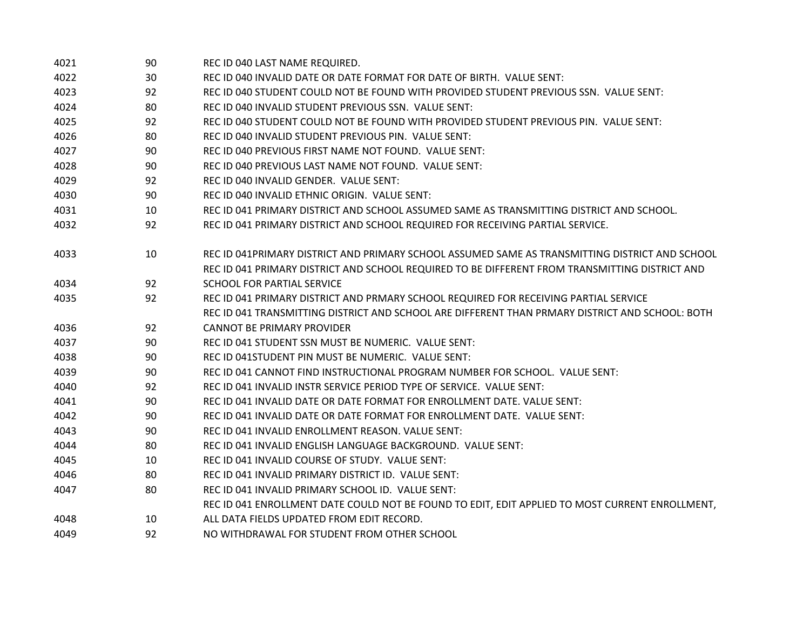| 4021 | 90 | REC ID 040 LAST NAME REQUIRED.                                                                  |
|------|----|-------------------------------------------------------------------------------------------------|
| 4022 | 30 | REC ID 040 INVALID DATE OR DATE FORMAT FOR DATE OF BIRTH. VALUE SENT:                           |
| 4023 | 92 | REC ID 040 STUDENT COULD NOT BE FOUND WITH PROVIDED STUDENT PREVIOUS SSN. VALUE SENT:           |
| 4024 | 80 | REC ID 040 INVALID STUDENT PREVIOUS SSN. VALUE SENT:                                            |
| 4025 | 92 | REC ID 040 STUDENT COULD NOT BE FOUND WITH PROVIDED STUDENT PREVIOUS PIN. VALUE SENT:           |
| 4026 | 80 | REC ID 040 INVALID STUDENT PREVIOUS PIN. VALUE SENT:                                            |
| 4027 | 90 | REC ID 040 PREVIOUS FIRST NAME NOT FOUND. VALUE SENT:                                           |
| 4028 | 90 | REC ID 040 PREVIOUS LAST NAME NOT FOUND. VALUE SENT:                                            |
| 4029 | 92 | REC ID 040 INVALID GENDER. VALUE SENT:                                                          |
| 4030 | 90 | REC ID 040 INVALID ETHNIC ORIGIN. VALUE SENT:                                                   |
| 4031 | 10 | REC ID 041 PRIMARY DISTRICT AND SCHOOL ASSUMED SAME AS TRANSMITTING DISTRICT AND SCHOOL.        |
| 4032 | 92 | REC ID 041 PRIMARY DISTRICT AND SCHOOL REQUIRED FOR RECEIVING PARTIAL SERVICE.                  |
| 4033 | 10 | REC ID 041PRIMARY DISTRICT AND PRIMARY SCHOOL ASSUMED SAME AS TRANSMITTING DISTRICT AND SCHOOL  |
|      |    | REC ID 041 PRIMARY DISTRICT AND SCHOOL REQUIRED TO BE DIFFERENT FROM TRANSMITTING DISTRICT AND  |
| 4034 | 92 | SCHOOL FOR PARTIAL SERVICE                                                                      |
| 4035 | 92 | REC ID 041 PRIMARY DISTRICT AND PRMARY SCHOOL REQUIRED FOR RECEIVING PARTIAL SERVICE            |
|      |    | REC ID 041 TRANSMITTING DISTRICT AND SCHOOL ARE DIFFERENT THAN PRMARY DISTRICT AND SCHOOL: BOTH |
| 4036 | 92 | <b>CANNOT BE PRIMARY PROVIDER</b>                                                               |
| 4037 | 90 | REC ID 041 STUDENT SSN MUST BE NUMERIC. VALUE SENT:                                             |
| 4038 | 90 | REC ID 041STUDENT PIN MUST BE NUMERIC. VALUE SENT:                                              |
| 4039 | 90 | REC ID 041 CANNOT FIND INSTRUCTIONAL PROGRAM NUMBER FOR SCHOOL. VALUE SENT:                     |
| 4040 | 92 | REC ID 041 INVALID INSTR SERVICE PERIOD TYPE OF SERVICE. VALUE SENT:                            |
| 4041 | 90 | REC ID 041 INVALID DATE OR DATE FORMAT FOR ENROLLMENT DATE. VALUE SENT:                         |
| 4042 | 90 | REC ID 041 INVALID DATE OR DATE FORMAT FOR ENROLLMENT DATE. VALUE SENT:                         |
| 4043 | 90 | REC ID 041 INVALID ENROLLMENT REASON. VALUE SENT:                                               |
| 4044 | 80 | REC ID 041 INVALID ENGLISH LANGUAGE BACKGROUND. VALUE SENT:                                     |
| 4045 | 10 | REC ID 041 INVALID COURSE OF STUDY. VALUE SENT:                                                 |
| 4046 | 80 | REC ID 041 INVALID PRIMARY DISTRICT ID. VALUE SENT:                                             |
| 4047 | 80 | REC ID 041 INVALID PRIMARY SCHOOL ID. VALUE SENT:                                               |
|      |    | REC ID 041 ENROLLMENT DATE COULD NOT BE FOUND TO EDIT, EDIT APPLIED TO MOST CURRENT ENROLLMENT, |
| 4048 | 10 | ALL DATA FIELDS UPDATED FROM EDIT RECORD.                                                       |
| 4049 | 92 | NO WITHDRAWAL FOR STUDENT FROM OTHER SCHOOL                                                     |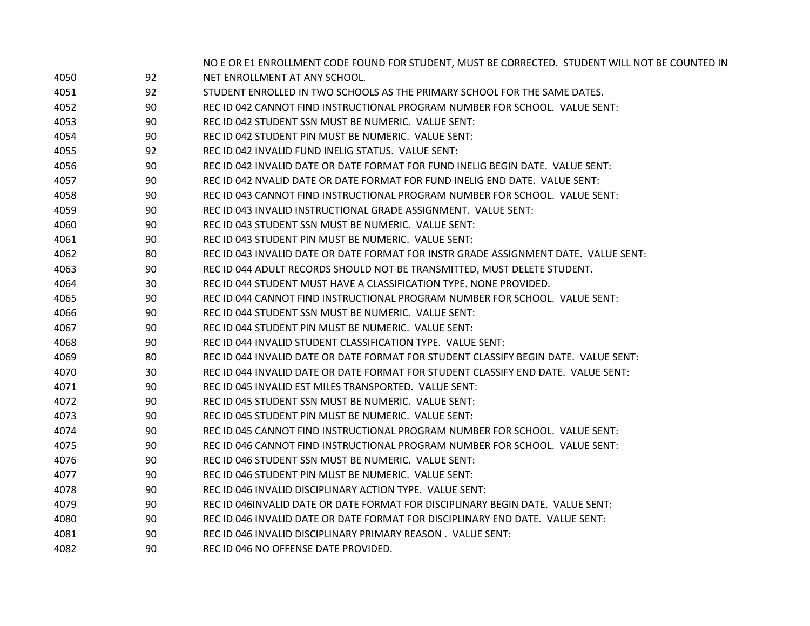|      |    | NO E OR E1 ENROLLMENT CODE FOUND FOR STUDENT, MUST BE CORRECTED. STUDENT WILL NOT BE COUNTED IN |
|------|----|-------------------------------------------------------------------------------------------------|
| 4050 | 92 | NET ENROLLMENT AT ANY SCHOOL.                                                                   |
| 4051 | 92 | STUDENT ENROLLED IN TWO SCHOOLS AS THE PRIMARY SCHOOL FOR THE SAME DATES.                       |
| 4052 | 90 | REC ID 042 CANNOT FIND INSTRUCTIONAL PROGRAM NUMBER FOR SCHOOL. VALUE SENT:                     |
| 4053 | 90 | REC ID 042 STUDENT SSN MUST BE NUMERIC. VALUE SENT:                                             |
| 4054 | 90 | REC ID 042 STUDENT PIN MUST BE NUMERIC. VALUE SENT:                                             |
| 4055 | 92 | REC ID 042 INVALID FUND INELIG STATUS. VALUE SENT:                                              |
| 4056 | 90 | REC ID 042 INVALID DATE OR DATE FORMAT FOR FUND INELIG BEGIN DATE. VALUE SENT:                  |
| 4057 | 90 | REC ID 042 NVALID DATE OR DATE FORMAT FOR FUND INELIG END DATE. VALUE SENT:                     |
| 4058 | 90 | REC ID 043 CANNOT FIND INSTRUCTIONAL PROGRAM NUMBER FOR SCHOOL. VALUE SENT:                     |
| 4059 | 90 | REC ID 043 INVALID INSTRUCTIONAL GRADE ASSIGNMENT. VALUE SENT:                                  |
| 4060 | 90 | REC ID 043 STUDENT SSN MUST BE NUMERIC. VALUE SENT:                                             |
| 4061 | 90 | REC ID 043 STUDENT PIN MUST BE NUMERIC. VALUE SENT:                                             |
| 4062 | 80 | REC ID 043 INVALID DATE OR DATE FORMAT FOR INSTR GRADE ASSIGNMENT DATE. VALUE SENT:             |
| 4063 | 90 | REC ID 044 ADULT RECORDS SHOULD NOT BE TRANSMITTED, MUST DELETE STUDENT.                        |
| 4064 | 30 | REC ID 044 STUDENT MUST HAVE A CLASSIFICATION TYPE. NONE PROVIDED.                              |
| 4065 | 90 | REC ID 044 CANNOT FIND INSTRUCTIONAL PROGRAM NUMBER FOR SCHOOL. VALUE SENT:                     |
| 4066 | 90 | REC ID 044 STUDENT SSN MUST BE NUMERIC. VALUE SENT:                                             |
| 4067 | 90 | REC ID 044 STUDENT PIN MUST BE NUMERIC. VALUE SENT:                                             |
| 4068 | 90 | REC ID 044 INVALID STUDENT CLASSIFICATION TYPE. VALUE SENT:                                     |
| 4069 | 80 | REC ID 044 INVALID DATE OR DATE FORMAT FOR STUDENT CLASSIFY BEGIN DATE. VALUE SENT:             |
| 4070 | 30 | REC ID 044 INVALID DATE OR DATE FORMAT FOR STUDENT CLASSIFY END DATE. VALUE SENT:               |
| 4071 | 90 | REC ID 045 INVALID EST MILES TRANSPORTED. VALUE SENT:                                           |
| 4072 | 90 | REC ID 045 STUDENT SSN MUST BE NUMERIC. VALUE SENT:                                             |
| 4073 | 90 | REC ID 045 STUDENT PIN MUST BE NUMERIC. VALUE SENT:                                             |
| 4074 | 90 | REC ID 045 CANNOT FIND INSTRUCTIONAL PROGRAM NUMBER FOR SCHOOL. VALUE SENT:                     |
| 4075 | 90 | REC ID 046 CANNOT FIND INSTRUCTIONAL PROGRAM NUMBER FOR SCHOOL. VALUE SENT:                     |
| 4076 | 90 | REC ID 046 STUDENT SSN MUST BE NUMERIC. VALUE SENT:                                             |
| 4077 | 90 | REC ID 046 STUDENT PIN MUST BE NUMERIC. VALUE SENT:                                             |
| 4078 | 90 | REC ID 046 INVALID DISCIPLINARY ACTION TYPE. VALUE SENT:                                        |
| 4079 | 90 | REC ID 046INVALID DATE OR DATE FORMAT FOR DISCIPLINARY BEGIN DATE. VALUE SENT:                  |
| 4080 | 90 | REC ID 046 INVALID DATE OR DATE FORMAT FOR DISCIPLINARY END DATE. VALUE SENT:                   |
| 4081 | 90 | REC ID 046 INVALID DISCIPLINARY PRIMARY REASON . VALUE SENT:                                    |
| 4082 | 90 | REC ID 046 NO OFFENSE DATE PROVIDED.                                                            |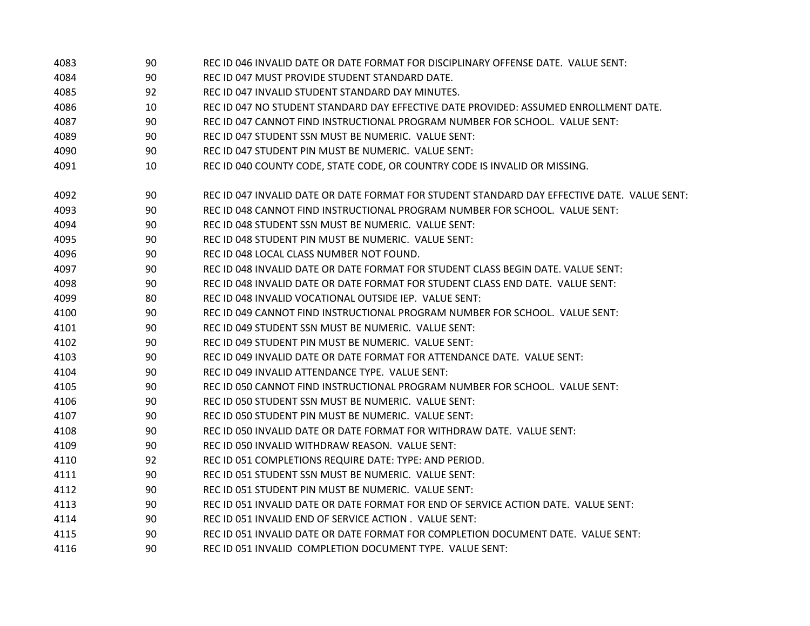| 4083 | 90 | REC ID 046 INVALID DATE OR DATE FORMAT FOR DISCIPLINARY OFFENSE DATE. VALUE SENT:           |
|------|----|---------------------------------------------------------------------------------------------|
| 4084 | 90 | REC ID 047 MUST PROVIDE STUDENT STANDARD DATE.                                              |
| 4085 | 92 | REC ID 047 INVALID STUDENT STANDARD DAY MINUTES.                                            |
| 4086 | 10 | REC ID 047 NO STUDENT STANDARD DAY EFFECTIVE DATE PROVIDED: ASSUMED ENROLLMENT DATE.        |
| 4087 | 90 | REC ID 047 CANNOT FIND INSTRUCTIONAL PROGRAM NUMBER FOR SCHOOL. VALUE SENT:                 |
| 4089 | 90 | REC ID 047 STUDENT SSN MUST BE NUMERIC. VALUE SENT:                                         |
| 4090 | 90 | REC ID 047 STUDENT PIN MUST BE NUMERIC. VALUE SENT:                                         |
| 4091 | 10 | REC ID 040 COUNTY CODE, STATE CODE, OR COUNTRY CODE IS INVALID OR MISSING.                  |
| 4092 | 90 | REC ID 047 INVALID DATE OR DATE FORMAT FOR STUDENT STANDARD DAY EFFECTIVE DATE. VALUE SENT: |
| 4093 | 90 | REC ID 048 CANNOT FIND INSTRUCTIONAL PROGRAM NUMBER FOR SCHOOL. VALUE SENT:                 |
| 4094 | 90 | REC ID 048 STUDENT SSN MUST BE NUMERIC. VALUE SENT:                                         |
| 4095 | 90 | REC ID 048 STUDENT PIN MUST BE NUMERIC. VALUE SENT:                                         |
| 4096 | 90 | REC ID 048 LOCAL CLASS NUMBER NOT FOUND.                                                    |
| 4097 | 90 | REC ID 048 INVALID DATE OR DATE FORMAT FOR STUDENT CLASS BEGIN DATE. VALUE SENT:            |
| 4098 | 90 | REC ID 048 INVALID DATE OR DATE FORMAT FOR STUDENT CLASS END DATE. VALUE SENT:              |
| 4099 | 80 | REC ID 048 INVALID VOCATIONAL OUTSIDE IEP. VALUE SENT:                                      |
| 4100 | 90 | REC ID 049 CANNOT FIND INSTRUCTIONAL PROGRAM NUMBER FOR SCHOOL. VALUE SENT:                 |
| 4101 | 90 | REC ID 049 STUDENT SSN MUST BE NUMERIC. VALUE SENT:                                         |
| 4102 | 90 | REC ID 049 STUDENT PIN MUST BE NUMERIC. VALUE SENT:                                         |
| 4103 | 90 | REC ID 049 INVALID DATE OR DATE FORMAT FOR ATTENDANCE DATE. VALUE SENT:                     |
| 4104 | 90 | REC ID 049 INVALID ATTENDANCE TYPE. VALUE SENT:                                             |
| 4105 | 90 | REC ID 050 CANNOT FIND INSTRUCTIONAL PROGRAM NUMBER FOR SCHOOL. VALUE SENT:                 |
| 4106 | 90 | REC ID 050 STUDENT SSN MUST BE NUMERIC. VALUE SENT:                                         |
| 4107 | 90 | REC ID 050 STUDENT PIN MUST BE NUMERIC. VALUE SENT:                                         |
| 4108 | 90 | REC ID 050 INVALID DATE OR DATE FORMAT FOR WITHDRAW DATE. VALUE SENT:                       |
| 4109 | 90 | REC ID 050 INVALID WITHDRAW REASON. VALUE SENT:                                             |
| 4110 | 92 | REC ID 051 COMPLETIONS REQUIRE DATE: TYPE: AND PERIOD.                                      |
| 4111 | 90 | REC ID 051 STUDENT SSN MUST BE NUMERIC. VALUE SENT:                                         |
| 4112 | 90 | REC ID 051 STUDENT PIN MUST BE NUMERIC. VALUE SENT:                                         |
| 4113 | 90 | REC ID 051 INVALID DATE OR DATE FORMAT FOR END OF SERVICE ACTION DATE. VALUE SENT:          |
| 4114 | 90 | REC ID 051 INVALID END OF SERVICE ACTION. VALUE SENT:                                       |
| 4115 | 90 | REC ID 051 INVALID DATE OR DATE FORMAT FOR COMPLETION DOCUMENT DATE. VALUE SENT:            |
| 4116 | 90 | REC ID 051 INVALID COMPLETION DOCUMENT TYPE. VALUE SENT:                                    |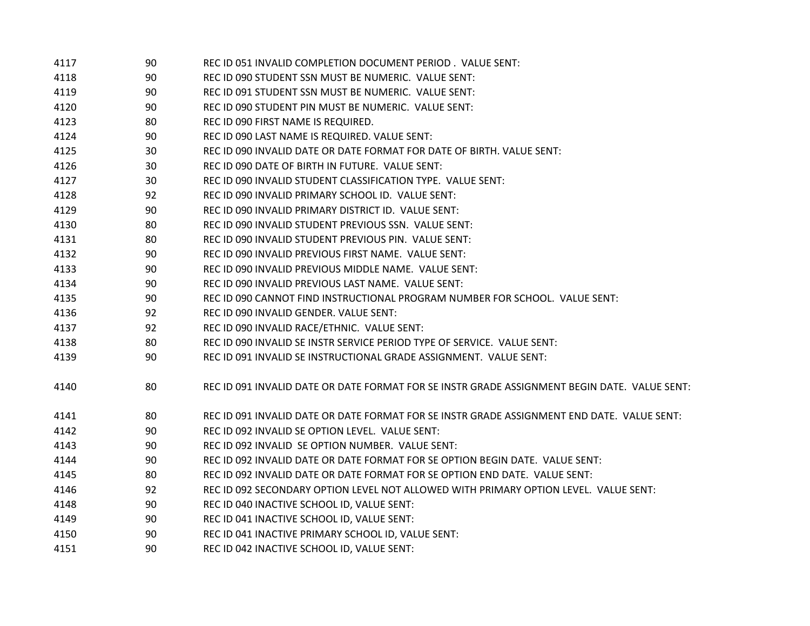| 4117 | 90 | REC ID 051 INVALID COMPLETION DOCUMENT PERIOD. VALUE SENT:                                   |
|------|----|----------------------------------------------------------------------------------------------|
| 4118 | 90 | REC ID 090 STUDENT SSN MUST BE NUMERIC. VALUE SENT:                                          |
| 4119 | 90 | REC ID 091 STUDENT SSN MUST BE NUMERIC. VALUE SENT:                                          |
| 4120 | 90 | REC ID 090 STUDENT PIN MUST BE NUMERIC. VALUE SENT:                                          |
| 4123 | 80 | REC ID 090 FIRST NAME IS REQUIRED.                                                           |
| 4124 | 90 | REC ID 090 LAST NAME IS REQUIRED. VALUE SENT:                                                |
| 4125 | 30 | REC ID 090 INVALID DATE OR DATE FORMAT FOR DATE OF BIRTH. VALUE SENT:                        |
| 4126 | 30 | REC ID 090 DATE OF BIRTH IN FUTURE. VALUE SENT:                                              |
| 4127 | 30 | REC ID 090 INVALID STUDENT CLASSIFICATION TYPE. VALUE SENT:                                  |
| 4128 | 92 | REC ID 090 INVALID PRIMARY SCHOOL ID. VALUE SENT:                                            |
| 4129 | 90 | REC ID 090 INVALID PRIMARY DISTRICT ID. VALUE SENT:                                          |
| 4130 | 80 | REC ID 090 INVALID STUDENT PREVIOUS SSN. VALUE SENT:                                         |
| 4131 | 80 | REC ID 090 INVALID STUDENT PREVIOUS PIN. VALUE SENT:                                         |
| 4132 | 90 | REC ID 090 INVALID PREVIOUS FIRST NAME. VALUE SENT:                                          |
| 4133 | 90 | REC ID 090 INVALID PREVIOUS MIDDLE NAME. VALUE SENT:                                         |
| 4134 | 90 | REC ID 090 INVALID PREVIOUS LAST NAME. VALUE SENT:                                           |
| 4135 | 90 | REC ID 090 CANNOT FIND INSTRUCTIONAL PROGRAM NUMBER FOR SCHOOL. VALUE SENT:                  |
| 4136 | 92 | REC ID 090 INVALID GENDER. VALUE SENT:                                                       |
| 4137 | 92 | REC ID 090 INVALID RACE/ETHNIC. VALUE SENT:                                                  |
| 4138 | 80 | REC ID 090 INVALID SE INSTR SERVICE PERIOD TYPE OF SERVICE. VALUE SENT:                      |
| 4139 | 90 | REC ID 091 INVALID SE INSTRUCTIONAL GRADE ASSIGNMENT. VALUE SENT:                            |
| 4140 | 80 | REC ID 091 INVALID DATE OR DATE FORMAT FOR SE INSTRIGRADE ASSIGNMENT BEGIN DATE. VALUE SENT: |
| 4141 | 80 | REC ID 091 INVALID DATE OR DATE FORMAT FOR SE INSTR GRADE ASSIGNMENT END DATE. VALUE SENT:   |
| 4142 | 90 | REC ID 092 INVALID SE OPTION LEVEL. VALUE SENT:                                              |
| 4143 | 90 | REC ID 092 INVALID SE OPTION NUMBER. VALUE SENT:                                             |
| 4144 | 90 | REC ID 092 INVALID DATE OR DATE FORMAT FOR SE OPTION BEGIN DATE. VALUE SENT:                 |
| 4145 | 80 | REC ID 092 INVALID DATE OR DATE FORMAT FOR SE OPTION END DATE. VALUE SENT:                   |
| 4146 | 92 | REC ID 092 SECONDARY OPTION LEVEL NOT ALLOWED WITH PRIMARY OPTION LEVEL. VALUE SENT:         |
| 4148 | 90 | REC ID 040 INACTIVE SCHOOL ID, VALUE SENT:                                                   |
| 4149 | 90 | REC ID 041 INACTIVE SCHOOL ID, VALUE SENT:                                                   |
| 4150 | 90 | REC ID 041 INACTIVE PRIMARY SCHOOL ID, VALUE SENT:                                           |
| 4151 | 90 | REC ID 042 INACTIVE SCHOOL ID, VALUE SENT:                                                   |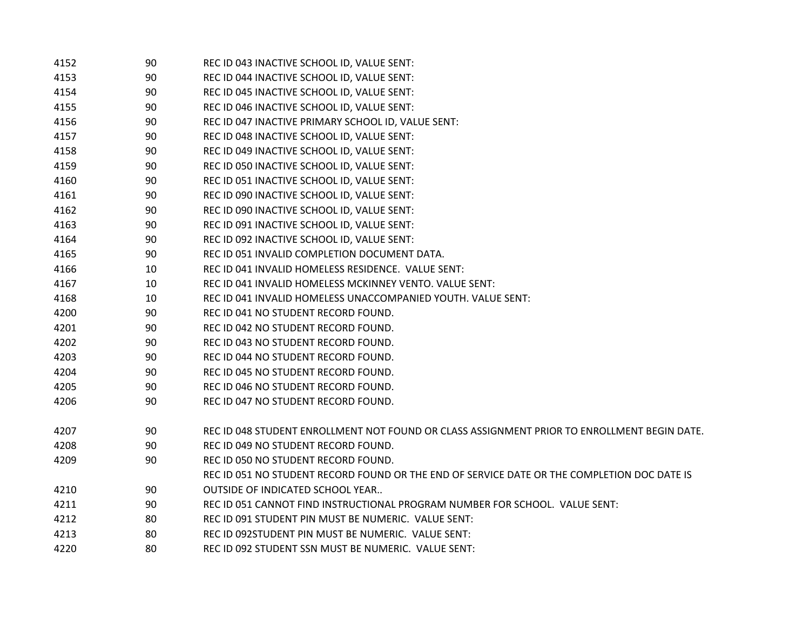| 4152 | 90 | REC ID 043 INACTIVE SCHOOL ID, VALUE SENT:                                                  |
|------|----|---------------------------------------------------------------------------------------------|
| 4153 | 90 | REC ID 044 INACTIVE SCHOOL ID, VALUE SENT:                                                  |
| 4154 | 90 | REC ID 045 INACTIVE SCHOOL ID, VALUE SENT:                                                  |
| 4155 | 90 | REC ID 046 INACTIVE SCHOOL ID, VALUE SENT:                                                  |
| 4156 | 90 | REC ID 047 INACTIVE PRIMARY SCHOOL ID, VALUE SENT:                                          |
| 4157 | 90 | REC ID 048 INACTIVE SCHOOL ID, VALUE SENT:                                                  |
| 4158 | 90 | REC ID 049 INACTIVE SCHOOL ID, VALUE SENT:                                                  |
| 4159 | 90 | REC ID 050 INACTIVE SCHOOL ID, VALUE SENT:                                                  |
| 4160 | 90 | REC ID 051 INACTIVE SCHOOL ID, VALUE SENT:                                                  |
| 4161 | 90 | REC ID 090 INACTIVE SCHOOL ID, VALUE SENT:                                                  |
| 4162 | 90 | REC ID 090 INACTIVE SCHOOL ID, VALUE SENT:                                                  |
| 4163 | 90 | REC ID 091 INACTIVE SCHOOL ID, VALUE SENT:                                                  |
| 4164 | 90 | REC ID 092 INACTIVE SCHOOL ID, VALUE SENT:                                                  |
| 4165 | 90 | REC ID 051 INVALID COMPLETION DOCUMENT DATA.                                                |
| 4166 | 10 | REC ID 041 INVALID HOMELESS RESIDENCE. VALUE SENT:                                          |
| 4167 | 10 | REC ID 041 INVALID HOMELESS MCKINNEY VENTO. VALUE SENT:                                     |
| 4168 | 10 | REC ID 041 INVALID HOMELESS UNACCOMPANIED YOUTH. VALUE SENT:                                |
| 4200 | 90 | REC ID 041 NO STUDENT RECORD FOUND.                                                         |
| 4201 | 90 | REC ID 042 NO STUDENT RECORD FOUND.                                                         |
| 4202 | 90 | REC ID 043 NO STUDENT RECORD FOUND.                                                         |
| 4203 | 90 | REC ID 044 NO STUDENT RECORD FOUND.                                                         |
| 4204 | 90 | REC ID 045 NO STUDENT RECORD FOUND.                                                         |
| 4205 | 90 | REC ID 046 NO STUDENT RECORD FOUND.                                                         |
| 4206 | 90 | REC ID 047 NO STUDENT RECORD FOUND.                                                         |
| 4207 | 90 | REC ID 048 STUDENT ENROLLMENT NOT FOUND OR CLASS ASSIGNMENT PRIOR TO ENROLLMENT BEGIN DATE. |
| 4208 | 90 | REC ID 049 NO STUDENT RECORD FOUND.                                                         |
| 4209 | 90 | REC ID 050 NO STUDENT RECORD FOUND.                                                         |
|      |    | REC ID 051 NO STUDENT RECORD FOUND OR THE END OF SERVICE DATE OR THE COMPLETION DOC DATE IS |
| 4210 | 90 | OUTSIDE OF INDICATED SCHOOL YEAR                                                            |
| 4211 | 90 | REC ID 051 CANNOT FIND INSTRUCTIONAL PROGRAM NUMBER FOR SCHOOL. VALUE SENT:                 |
| 4212 | 80 | REC ID 091 STUDENT PIN MUST BE NUMERIC. VALUE SENT:                                         |
| 4213 | 80 | REC ID 092STUDENT PIN MUST BE NUMERIC. VALUE SENT:                                          |
| 4220 | 80 | REC ID 092 STUDENT SSN MUST BE NUMERIC. VALUE SENT:                                         |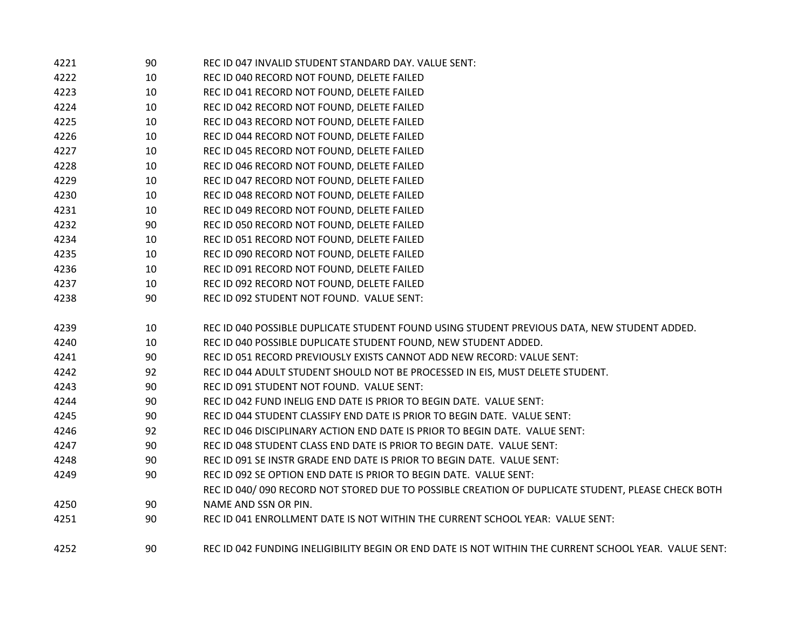| 4221 | 90 | REC ID 047 INVALID STUDENT STANDARD DAY. VALUE SENT:                                                  |
|------|----|-------------------------------------------------------------------------------------------------------|
| 4222 | 10 | REC ID 040 RECORD NOT FOUND, DELETE FAILED                                                            |
| 4223 | 10 | REC ID 041 RECORD NOT FOUND, DELETE FAILED                                                            |
| 4224 | 10 | REC ID 042 RECORD NOT FOUND, DELETE FAILED                                                            |
| 4225 | 10 | REC ID 043 RECORD NOT FOUND, DELETE FAILED                                                            |
| 4226 | 10 | REC ID 044 RECORD NOT FOUND, DELETE FAILED                                                            |
| 4227 | 10 | REC ID 045 RECORD NOT FOUND, DELETE FAILED                                                            |
| 4228 | 10 | REC ID 046 RECORD NOT FOUND, DELETE FAILED                                                            |
| 4229 | 10 | REC ID 047 RECORD NOT FOUND, DELETE FAILED                                                            |
| 4230 | 10 | REC ID 048 RECORD NOT FOUND, DELETE FAILED                                                            |
| 4231 | 10 | REC ID 049 RECORD NOT FOUND, DELETE FAILED                                                            |
| 4232 | 90 | REC ID 050 RECORD NOT FOUND, DELETE FAILED                                                            |
| 4234 | 10 | REC ID 051 RECORD NOT FOUND, DELETE FAILED                                                            |
| 4235 | 10 | REC ID 090 RECORD NOT FOUND, DELETE FAILED                                                            |
| 4236 | 10 | REC ID 091 RECORD NOT FOUND, DELETE FAILED                                                            |
| 4237 | 10 | REC ID 092 RECORD NOT FOUND, DELETE FAILED                                                            |
| 4238 | 90 | REC ID 092 STUDENT NOT FOUND. VALUE SENT:                                                             |
| 4239 | 10 | REC ID 040 POSSIBLE DUPLICATE STUDENT FOUND USING STUDENT PREVIOUS DATA, NEW STUDENT ADDED.           |
| 4240 | 10 | REC ID 040 POSSIBLE DUPLICATE STUDENT FOUND, NEW STUDENT ADDED.                                       |
| 4241 | 90 | REC ID 051 RECORD PREVIOUSLY EXISTS CANNOT ADD NEW RECORD: VALUE SENT:                                |
| 4242 | 92 | REC ID 044 ADULT STUDENT SHOULD NOT BE PROCESSED IN EIS, MUST DELETE STUDENT.                         |
| 4243 | 90 | REC ID 091 STUDENT NOT FOUND. VALUE SENT:                                                             |
| 4244 | 90 | REC ID 042 FUND INELIG END DATE IS PRIOR TO BEGIN DATE. VALUE SENT:                                   |
| 4245 | 90 | REC ID 044 STUDENT CLASSIFY END DATE IS PRIOR TO BEGIN DATE. VALUE SENT:                              |
| 4246 | 92 | REC ID 046 DISCIPLINARY ACTION END DATE IS PRIOR TO BEGIN DATE. VALUE SENT:                           |
| 4247 | 90 | REC ID 048 STUDENT CLASS END DATE IS PRIOR TO BEGIN DATE. VALUE SENT:                                 |
| 4248 | 90 | REC ID 091 SE INSTR GRADE END DATE IS PRIOR TO BEGIN DATE. VALUE SENT:                                |
| 4249 | 90 | REC ID 092 SE OPTION END DATE IS PRIOR TO BEGIN DATE. VALUE SENT:                                     |
|      |    | REC ID 040/090 RECORD NOT STORED DUE TO POSSIBLE CREATION OF DUPLICATE STUDENT, PLEASE CHECK BOTH     |
| 4250 | 90 | NAME AND SSN OR PIN.                                                                                  |
| 4251 | 90 | REC ID 041 ENROLLMENT DATE IS NOT WITHIN THE CURRENT SCHOOL YEAR: VALUE SENT:                         |
| 4252 | 90 | REC ID 042 FUNDING INELIGIBILITY BEGIN OR END DATE IS NOT WITHIN THE CURRENT SCHOOL YEAR. VALUE SENT: |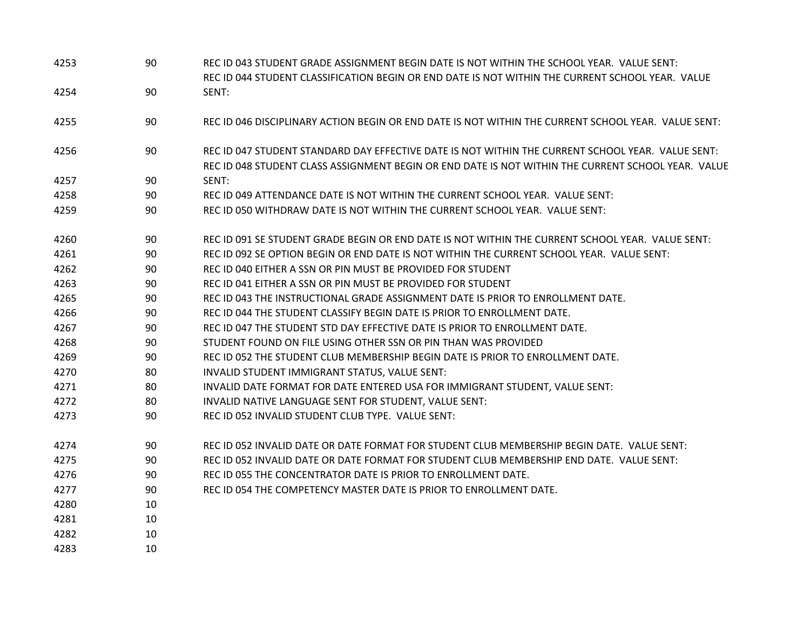| 4253 | 90 | REC ID 043 STUDENT GRADE ASSIGNMENT BEGIN DATE IS NOT WITHIN THE SCHOOL YEAR. VALUE SENT:<br>REC ID 044 STUDENT CLASSIFICATION BEGIN OR END DATE IS NOT WITHIN THE CURRENT SCHOOL YEAR. VALUE           |
|------|----|---------------------------------------------------------------------------------------------------------------------------------------------------------------------------------------------------------|
| 4254 | 90 | SENT:                                                                                                                                                                                                   |
| 4255 | 90 | REC ID 046 DISCIPLINARY ACTION BEGIN OR END DATE IS NOT WITHIN THE CURRENT SCHOOL YEAR. VALUE SENT:                                                                                                     |
| 4256 | 90 | REC ID 047 STUDENT STANDARD DAY EFFECTIVE DATE IS NOT WITHIN THE CURRENT SCHOOL YEAR. VALUE SENT:<br>REC ID 048 STUDENT CLASS ASSIGNMENT BEGIN OR END DATE IS NOT WITHIN THE CURRENT SCHOOL YEAR. VALUE |
| 4257 | 90 | SENT:                                                                                                                                                                                                   |
| 4258 | 90 | REC ID 049 ATTENDANCE DATE IS NOT WITHIN THE CURRENT SCHOOL YEAR. VALUE SENT:                                                                                                                           |
| 4259 | 90 | REC ID 050 WITHDRAW DATE IS NOT WITHIN THE CURRENT SCHOOL YEAR. VALUE SENT:                                                                                                                             |
| 4260 | 90 | REC ID 091 SE STUDENT GRADE BEGIN OR END DATE IS NOT WITHIN THE CURRENT SCHOOL YEAR. VALUE SENT:                                                                                                        |
| 4261 | 90 | REC ID 092 SE OPTION BEGIN OR END DATE IS NOT WITHIN THE CURRENT SCHOOL YEAR. VALUE SENT:                                                                                                               |
| 4262 | 90 | REC ID 040 EITHER A SSN OR PIN MUST BE PROVIDED FOR STUDENT                                                                                                                                             |
| 4263 | 90 | REC ID 041 EITHER A SSN OR PIN MUST BE PROVIDED FOR STUDENT                                                                                                                                             |
| 4265 | 90 | REC ID 043 THE INSTRUCTIONAL GRADE ASSIGNMENT DATE IS PRIOR TO ENROLLMENT DATE.                                                                                                                         |
| 4266 | 90 | REC ID 044 THE STUDENT CLASSIFY BEGIN DATE IS PRIOR TO ENROLLMENT DATE.                                                                                                                                 |
| 4267 | 90 | REC ID 047 THE STUDENT STD DAY EFFECTIVE DATE IS PRIOR TO ENROLLMENT DATE.                                                                                                                              |
| 4268 | 90 | STUDENT FOUND ON FILE USING OTHER SSN OR PIN THAN WAS PROVIDED                                                                                                                                          |
| 4269 | 90 | REC ID 052 THE STUDENT CLUB MEMBERSHIP BEGIN DATE IS PRIOR TO ENROLLMENT DATE.                                                                                                                          |
| 4270 | 80 | INVALID STUDENT IMMIGRANT STATUS, VALUE SENT:                                                                                                                                                           |
| 4271 | 80 | INVALID DATE FORMAT FOR DATE ENTERED USA FOR IMMIGRANT STUDENT, VALUE SENT:                                                                                                                             |
| 4272 | 80 | INVALID NATIVE LANGUAGE SENT FOR STUDENT, VALUE SENT:                                                                                                                                                   |
| 4273 | 90 | REC ID 052 INVALID STUDENT CLUB TYPE. VALUE SENT:                                                                                                                                                       |
| 4274 | 90 | REC ID 052 INVALID DATE OR DATE FORMAT FOR STUDENT CLUB MEMBERSHIP BEGIN DATE. VALUE SENT:                                                                                                              |
| 4275 | 90 | REC ID 052 INVALID DATE OR DATE FORMAT FOR STUDENT CLUB MEMBERSHIP END DATE. VALUE SENT:                                                                                                                |
| 4276 | 90 | REC ID 055 THE CONCENTRATOR DATE IS PRIOR TO ENROLLMENT DATE.                                                                                                                                           |
| 4277 | 90 | REC ID 054 THE COMPETENCY MASTER DATE IS PRIOR TO ENROLLMENT DATE.                                                                                                                                      |
| 4280 | 10 |                                                                                                                                                                                                         |
| 4281 | 10 |                                                                                                                                                                                                         |
| 4282 | 10 |                                                                                                                                                                                                         |
| 4283 | 10 |                                                                                                                                                                                                         |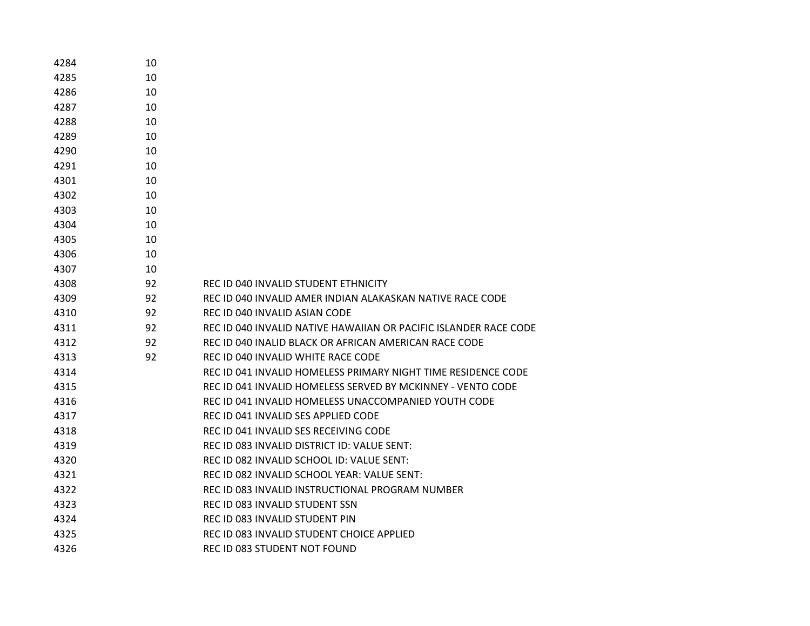| 4284 | 10 |                                                                  |
|------|----|------------------------------------------------------------------|
| 4285 | 10 |                                                                  |
| 4286 | 10 |                                                                  |
| 4287 | 10 |                                                                  |
| 4288 | 10 |                                                                  |
| 4289 | 10 |                                                                  |
| 4290 | 10 |                                                                  |
| 4291 | 10 |                                                                  |
| 4301 | 10 |                                                                  |
| 4302 | 10 |                                                                  |
| 4303 | 10 |                                                                  |
| 4304 | 10 |                                                                  |
| 4305 | 10 |                                                                  |
| 4306 | 10 |                                                                  |
| 4307 | 10 |                                                                  |
| 4308 | 92 | REC ID 040 INVALID STUDENT ETHNICITY                             |
| 4309 | 92 | REC ID 040 INVALID AMER INDIAN ALAKASKAN NATIVE RACE CODE        |
| 4310 | 92 | REC ID 040 INVALID ASIAN CODE                                    |
| 4311 | 92 | REC ID 040 INVALID NATIVE HAWAIIAN OR PACIFIC ISLANDER RACE CODE |
| 4312 | 92 | REC ID 040 INALID BLACK OR AFRICAN AMERICAN RACE CODE            |
| 4313 | 92 | REC ID 040 INVALID WHITE RACE CODE                               |
| 4314 |    | REC ID 041 INVALID HOMELESS PRIMARY NIGHT TIME RESIDENCE CODE    |
| 4315 |    | REC ID 041 INVALID HOMELESS SERVED BY MCKINNEY - VENTO CODE      |
| 4316 |    | REC ID 041 INVALID HOMELESS UNACCOMPANIED YOUTH CODE             |
| 4317 |    | REC ID 041 INVALID SES APPLIED CODE                              |
| 4318 |    | REC ID 041 INVALID SES RECEIVING CODE                            |
| 4319 |    | REC ID 083 INVALID DISTRICT ID: VALUE SENT:                      |
| 4320 |    | REC ID 082 INVALID SCHOOL ID: VALUE SENT:                        |
| 4321 |    | REC ID 082 INVALID SCHOOL YEAR: VALUE SENT:                      |
| 4322 |    | REC ID 083 INVALID INSTRUCTIONAL PROGRAM NUMBER                  |
| 4323 |    | REC ID 083 INVALID STUDENT SSN                                   |
| 4324 |    | REC ID 083 INVALID STUDENT PIN                                   |
| 4325 |    | REC ID 083 INVALID STUDENT CHOICE APPLIED                        |
| 4326 |    | REC ID 083 STUDENT NOT FOUND                                     |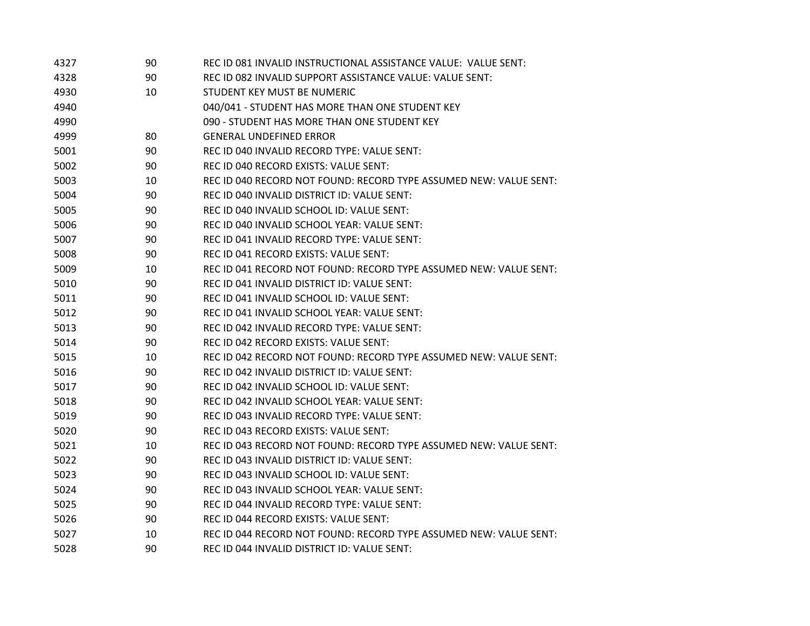| 4327 | 90 | REC ID 081 INVALID INSTRUCTIONAL ASSISTANCE VALUE: VALUE SENT:    |  |
|------|----|-------------------------------------------------------------------|--|
| 4328 | 90 | REC ID 082 INVALID SUPPORT ASSISTANCE VALUE: VALUE SENT:          |  |
| 4930 | 10 | STUDENT KEY MUST BE NUMERIC                                       |  |
| 4940 |    | 040/041 - STUDENT HAS MORE THAN ONE STUDENT KEY                   |  |
| 4990 |    | 090 - STUDENT HAS MORE THAN ONE STUDENT KEY                       |  |
| 4999 | 80 | <b>GENERAL UNDEFINED ERROR</b>                                    |  |
| 5001 | 90 | REC ID 040 INVALID RECORD TYPE: VALUE SENT:                       |  |
| 5002 | 90 | REC ID 040 RECORD EXISTS: VALUE SENT:                             |  |
| 5003 | 10 | REC ID 040 RECORD NOT FOUND: RECORD TYPE ASSUMED NEW: VALUE SENT: |  |
| 5004 | 90 | REC ID 040 INVALID DISTRICT ID: VALUE SENT:                       |  |
| 5005 | 90 | REC ID 040 INVALID SCHOOL ID: VALUE SENT:                         |  |
| 5006 | 90 | REC ID 040 INVALID SCHOOL YEAR: VALUE SENT:                       |  |
| 5007 | 90 | REC ID 041 INVALID RECORD TYPE: VALUE SENT:                       |  |
| 5008 | 90 | REC ID 041 RECORD EXISTS: VALUE SENT:                             |  |
| 5009 | 10 | REC ID 041 RECORD NOT FOUND: RECORD TYPE ASSUMED NEW: VALUE SENT: |  |
| 5010 | 90 | REC ID 041 INVALID DISTRICT ID: VALUE SENT:                       |  |
| 5011 | 90 | REC ID 041 INVALID SCHOOL ID: VALUE SENT:                         |  |
| 5012 | 90 | REC ID 041 INVALID SCHOOL YEAR: VALUE SENT:                       |  |
| 5013 | 90 | REC ID 042 INVALID RECORD TYPE: VALUE SENT:                       |  |
| 5014 | 90 | REC ID 042 RECORD EXISTS: VALUE SENT:                             |  |
| 5015 | 10 | REC ID 042 RECORD NOT FOUND: RECORD TYPE ASSUMED NEW: VALUE SENT: |  |
| 5016 | 90 | REC ID 042 INVALID DISTRICT ID: VALUE SENT:                       |  |
| 5017 | 90 | REC ID 042 INVALID SCHOOL ID: VALUE SENT:                         |  |
| 5018 | 90 | REC ID 042 INVALID SCHOOL YEAR: VALUE SENT:                       |  |
| 5019 | 90 | REC ID 043 INVALID RECORD TYPE: VALUE SENT:                       |  |
| 5020 | 90 | REC ID 043 RECORD EXISTS: VALUE SENT:                             |  |
| 5021 | 10 | REC ID 043 RECORD NOT FOUND: RECORD TYPE ASSUMED NEW: VALUE SENT: |  |
| 5022 | 90 | REC ID 043 INVALID DISTRICT ID: VALUE SENT:                       |  |
| 5023 | 90 | REC ID 043 INVALID SCHOOL ID: VALUE SENT:                         |  |
| 5024 | 90 | REC ID 043 INVALID SCHOOL YEAR: VALUE SENT:                       |  |
| 5025 | 90 | REC ID 044 INVALID RECORD TYPE: VALUE SENT:                       |  |
| 5026 | 90 | REC ID 044 RECORD EXISTS: VALUE SENT:                             |  |
| 5027 | 10 | REC ID 044 RECORD NOT FOUND: RECORD TYPE ASSUMED NEW: VALUE SENT: |  |
| 5028 | 90 | REC ID 044 INVALID DISTRICT ID: VALUE SENT:                       |  |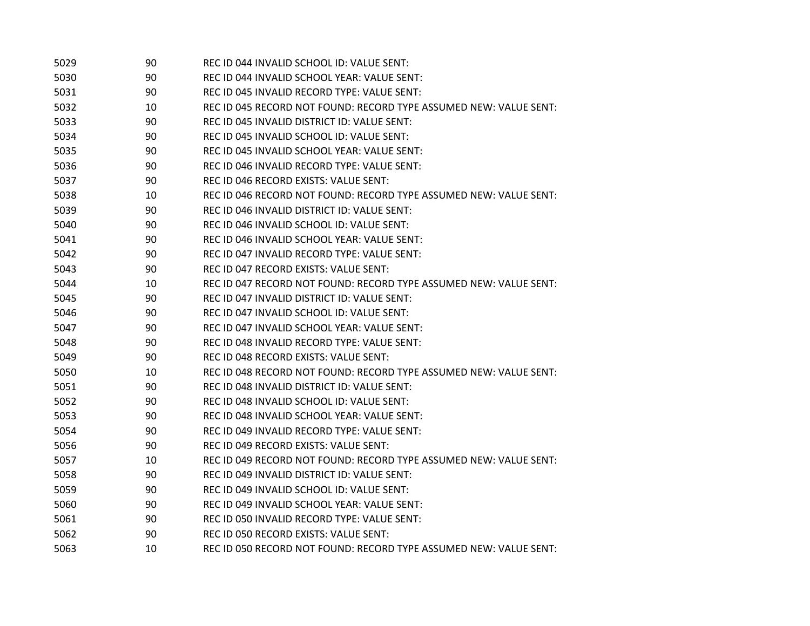| 5029 | 90 | REC ID 044 INVALID SCHOOL ID: VALUE SENT:                         |
|------|----|-------------------------------------------------------------------|
| 5030 | 90 | REC ID 044 INVALID SCHOOL YEAR: VALUE SENT:                       |
| 5031 | 90 | REC ID 045 INVALID RECORD TYPE: VALUE SENT:                       |
| 5032 | 10 | REC ID 045 RECORD NOT FOUND: RECORD TYPE ASSUMED NEW: VALUE SENT: |
| 5033 | 90 | REC ID 045 INVALID DISTRICT ID: VALUE SENT:                       |
| 5034 | 90 | REC ID 045 INVALID SCHOOL ID: VALUE SENT:                         |
| 5035 | 90 | REC ID 045 INVALID SCHOOL YEAR: VALUE SENT:                       |
| 5036 | 90 | REC ID 046 INVALID RECORD TYPE: VALUE SENT:                       |
| 5037 | 90 | REC ID 046 RECORD EXISTS: VALUE SENT:                             |
| 5038 | 10 | REC ID 046 RECORD NOT FOUND: RECORD TYPE ASSUMED NEW: VALUE SENT: |
| 5039 | 90 | REC ID 046 INVALID DISTRICT ID: VALUE SENT:                       |
| 5040 | 90 | REC ID 046 INVALID SCHOOL ID: VALUE SENT:                         |
| 5041 | 90 | REC ID 046 INVALID SCHOOL YEAR: VALUE SENT:                       |
| 5042 | 90 | REC ID 047 INVALID RECORD TYPE: VALUE SENT:                       |
| 5043 | 90 | REC ID 047 RECORD EXISTS: VALUE SENT:                             |
| 5044 | 10 | REC ID 047 RECORD NOT FOUND: RECORD TYPE ASSUMED NEW: VALUE SENT: |
| 5045 | 90 | REC ID 047 INVALID DISTRICT ID: VALUE SENT:                       |
| 5046 | 90 | REC ID 047 INVALID SCHOOL ID: VALUE SENT:                         |
| 5047 | 90 | REC ID 047 INVALID SCHOOL YEAR: VALUE SENT:                       |
| 5048 | 90 | REC ID 048 INVALID RECORD TYPE: VALUE SENT:                       |
| 5049 | 90 | REC ID 048 RECORD EXISTS: VALUE SENT:                             |
| 5050 | 10 | REC ID 048 RECORD NOT FOUND: RECORD TYPE ASSUMED NEW: VALUE SENT: |
| 5051 | 90 | REC ID 048 INVALID DISTRICT ID: VALUE SENT:                       |
| 5052 | 90 | REC ID 048 INVALID SCHOOL ID: VALUE SENT:                         |
| 5053 | 90 | REC ID 048 INVALID SCHOOL YEAR: VALUE SENT:                       |
| 5054 | 90 | REC ID 049 INVALID RECORD TYPE: VALUE SENT:                       |
| 5056 | 90 | REC ID 049 RECORD EXISTS: VALUE SENT:                             |
| 5057 | 10 | REC ID 049 RECORD NOT FOUND: RECORD TYPE ASSUMED NEW: VALUE SENT: |
| 5058 | 90 | REC ID 049 INVALID DISTRICT ID: VALUE SENT:                       |
| 5059 | 90 | REC ID 049 INVALID SCHOOL ID: VALUE SENT:                         |
| 5060 | 90 | REC ID 049 INVALID SCHOOL YEAR: VALUE SENT:                       |
| 5061 | 90 | REC ID 050 INVALID RECORD TYPE: VALUE SENT:                       |
| 5062 | 90 | REC ID 050 RECORD EXISTS: VALUE SENT:                             |
| 5063 | 10 | REC ID 050 RECORD NOT FOUND: RECORD TYPE ASSUMED NEW: VALUE SENT: |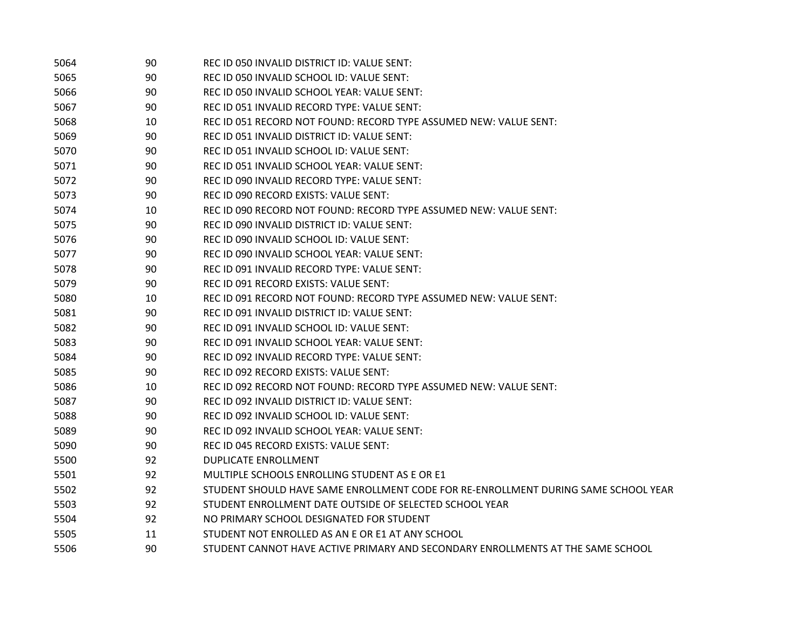| 5064 | 90 | REC ID 050 INVALID DISTRICT ID: VALUE SENT:                                        |
|------|----|------------------------------------------------------------------------------------|
| 5065 | 90 | REC ID 050 INVALID SCHOOL ID: VALUE SENT:                                          |
| 5066 | 90 | REC ID 050 INVALID SCHOOL YEAR: VALUE SENT:                                        |
| 5067 | 90 | REC ID 051 INVALID RECORD TYPE: VALUE SENT:                                        |
| 5068 | 10 | REC ID 051 RECORD NOT FOUND: RECORD TYPE ASSUMED NEW: VALUE SENT:                  |
| 5069 | 90 | REC ID 051 INVALID DISTRICT ID: VALUE SENT:                                        |
| 5070 | 90 | REC ID 051 INVALID SCHOOL ID: VALUE SENT:                                          |
| 5071 | 90 | REC ID 051 INVALID SCHOOL YEAR: VALUE SENT:                                        |
| 5072 | 90 | REC ID 090 INVALID RECORD TYPE: VALUE SENT:                                        |
| 5073 | 90 | REC ID 090 RECORD EXISTS: VALUE SENT:                                              |
| 5074 | 10 | REC ID 090 RECORD NOT FOUND: RECORD TYPE ASSUMED NEW: VALUE SENT:                  |
| 5075 | 90 | REC ID 090 INVALID DISTRICT ID: VALUE SENT:                                        |
| 5076 | 90 | REC ID 090 INVALID SCHOOL ID: VALUE SENT:                                          |
| 5077 | 90 | REC ID 090 INVALID SCHOOL YEAR: VALUE SENT:                                        |
| 5078 | 90 | REC ID 091 INVALID RECORD TYPE: VALUE SENT:                                        |
| 5079 | 90 | REC ID 091 RECORD EXISTS: VALUE SENT:                                              |
| 5080 | 10 | REC ID 091 RECORD NOT FOUND: RECORD TYPE ASSUMED NEW: VALUE SENT:                  |
| 5081 | 90 | REC ID 091 INVALID DISTRICT ID: VALUE SENT:                                        |
| 5082 | 90 | REC ID 091 INVALID SCHOOL ID: VALUE SENT:                                          |
| 5083 | 90 | REC ID 091 INVALID SCHOOL YEAR: VALUE SENT:                                        |
| 5084 | 90 | REC ID 092 INVALID RECORD TYPE: VALUE SENT:                                        |
| 5085 | 90 | REC ID 092 RECORD EXISTS: VALUE SENT:                                              |
| 5086 | 10 | REC ID 092 RECORD NOT FOUND: RECORD TYPE ASSUMED NEW: VALUE SENT:                  |
| 5087 | 90 | REC ID 092 INVALID DISTRICT ID: VALUE SENT:                                        |
| 5088 | 90 | REC ID 092 INVALID SCHOOL ID: VALUE SENT:                                          |
| 5089 | 90 | REC ID 092 INVALID SCHOOL YEAR: VALUE SENT:                                        |
| 5090 | 90 | REC ID 045 RECORD EXISTS: VALUE SENT:                                              |
| 5500 | 92 | <b>DUPLICATE ENROLLMENT</b>                                                        |
| 5501 | 92 | MULTIPLE SCHOOLS ENROLLING STUDENT AS E OR E1                                      |
| 5502 | 92 | STUDENT SHOULD HAVE SAME ENROLLMENT CODE FOR RE-ENROLLMENT DURING SAME SCHOOL YEAR |
| 5503 | 92 | STUDENT ENROLLMENT DATE OUTSIDE OF SELECTED SCHOOL YEAR                            |
| 5504 | 92 | NO PRIMARY SCHOOL DESIGNATED FOR STUDENT                                           |
| 5505 | 11 | STUDENT NOT ENROLLED AS AN E OR E1 AT ANY SCHOOL                                   |
| 5506 | 90 | STUDENT CANNOT HAVE ACTIVE PRIMARY AND SECONDARY ENROLLMENTS AT THE SAME SCHOOL    |
|      |    |                                                                                    |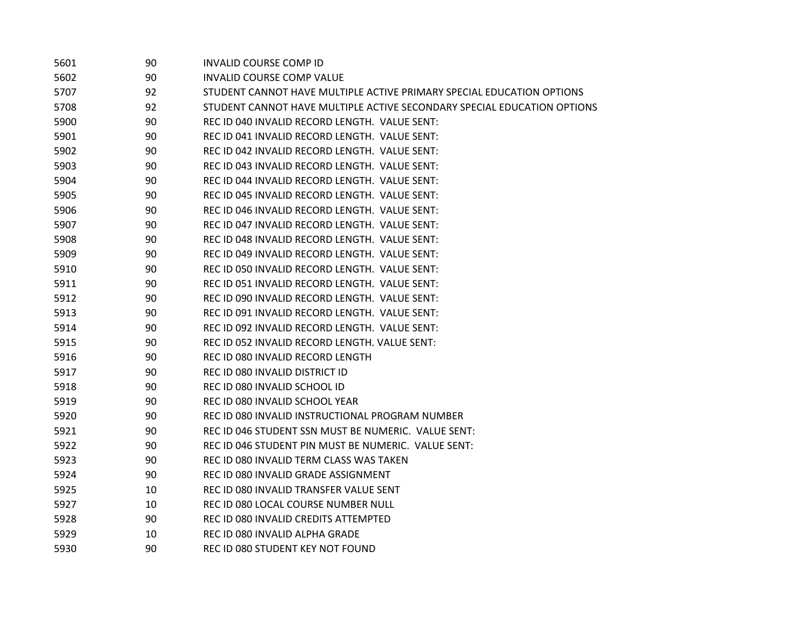| 5601 | 90 | <b>INVALID COURSE COMP ID</b>                                           |
|------|----|-------------------------------------------------------------------------|
| 5602 | 90 | <b>INVALID COURSE COMP VALUE</b>                                        |
| 5707 | 92 | STUDENT CANNOT HAVE MULTIPLE ACTIVE PRIMARY SPECIAL EDUCATION OPTIONS   |
| 5708 | 92 | STUDENT CANNOT HAVE MULTIPLE ACTIVE SECONDARY SPECIAL EDUCATION OPTIONS |
| 5900 | 90 | REC ID 040 INVALID RECORD LENGTH. VALUE SENT:                           |
| 5901 | 90 | REC ID 041 INVALID RECORD LENGTH. VALUE SENT:                           |
| 5902 | 90 | REC ID 042 INVALID RECORD LENGTH. VALUE SENT:                           |
| 5903 | 90 | REC ID 043 INVALID RECORD LENGTH. VALUE SENT:                           |
| 5904 | 90 | REC ID 044 INVALID RECORD LENGTH. VALUE SENT:                           |
| 5905 | 90 | REC ID 045 INVALID RECORD LENGTH. VALUE SENT:                           |
| 5906 | 90 | REC ID 046 INVALID RECORD LENGTH. VALUE SENT:                           |
| 5907 | 90 | REC ID 047 INVALID RECORD LENGTH. VALUE SENT:                           |
| 5908 | 90 | REC ID 048 INVALID RECORD LENGTH. VALUE SENT:                           |
| 5909 | 90 | REC ID 049 INVALID RECORD LENGTH. VALUE SENT:                           |
| 5910 | 90 | REC ID 050 INVALID RECORD LENGTH. VALUE SENT:                           |
| 5911 | 90 | REC ID 051 INVALID RECORD LENGTH. VALUE SENT:                           |
| 5912 | 90 | REC ID 090 INVALID RECORD LENGTH. VALUE SENT:                           |
| 5913 | 90 | REC ID 091 INVALID RECORD LENGTH. VALUE SENT:                           |
| 5914 | 90 | REC ID 092 INVALID RECORD LENGTH. VALUE SENT:                           |
| 5915 | 90 | REC ID 052 INVALID RECORD LENGTH. VALUE SENT:                           |
| 5916 | 90 | REC ID 080 INVALID RECORD LENGTH                                        |
| 5917 | 90 | REC ID 080 INVALID DISTRICT ID                                          |
| 5918 | 90 | REC ID 080 INVALID SCHOOL ID                                            |
| 5919 | 90 | REC ID 080 INVALID SCHOOL YEAR                                          |
| 5920 | 90 | REC ID 080 INVALID INSTRUCTIONAL PROGRAM NUMBER                         |
| 5921 | 90 | REC ID 046 STUDENT SSN MUST BE NUMERIC. VALUE SENT:                     |
| 5922 | 90 | REC ID 046 STUDENT PIN MUST BE NUMERIC. VALUE SENT:                     |
| 5923 | 90 | REC ID 080 INVALID TERM CLASS WAS TAKEN                                 |
| 5924 | 90 | REC ID 080 INVALID GRADE ASSIGNMENT                                     |
| 5925 | 10 | REC ID 080 INVALID TRANSFER VALUE SENT                                  |
| 5927 | 10 | REC ID 080 LOCAL COURSE NUMBER NULL                                     |
| 5928 | 90 | REC ID 080 INVALID CREDITS ATTEMPTED                                    |
| 5929 | 10 | REC ID 080 INVALID ALPHA GRADE                                          |
| 5930 | 90 | REC ID 080 STUDENT KEY NOT FOUND                                        |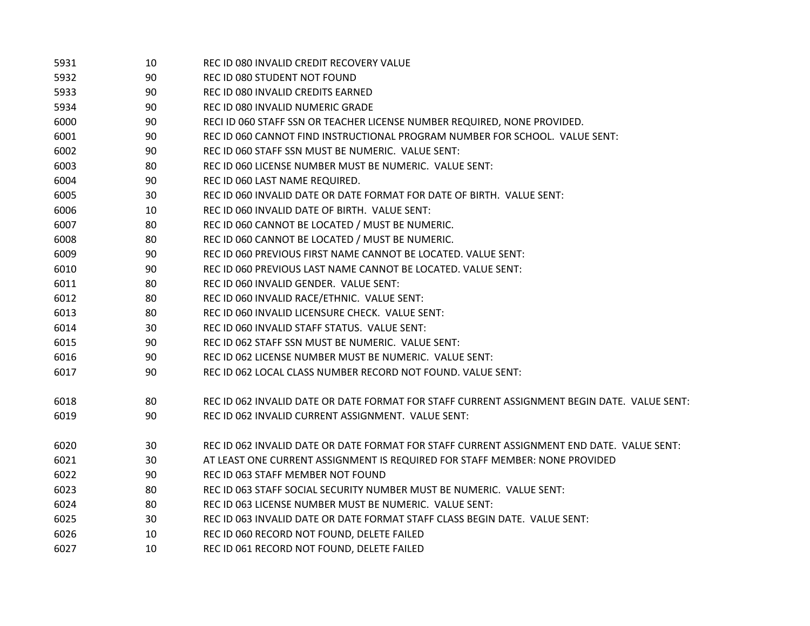| 5931 | 10 | REC ID 080 INVALID CREDIT RECOVERY VALUE                                                    |
|------|----|---------------------------------------------------------------------------------------------|
| 5932 | 90 | REC ID 080 STUDENT NOT FOUND                                                                |
| 5933 | 90 | REC ID 080 INVALID CREDITS EARNED                                                           |
| 5934 | 90 | REC ID 080 INVALID NUMERIC GRADE                                                            |
| 6000 | 90 | RECI ID 060 STAFF SSN OR TEACHER LICENSE NUMBER REQUIRED, NONE PROVIDED.                    |
| 6001 | 90 | REC ID 060 CANNOT FIND INSTRUCTIONAL PROGRAM NUMBER FOR SCHOOL. VALUE SENT:                 |
| 6002 | 90 | REC ID 060 STAFF SSN MUST BE NUMERIC. VALUE SENT:                                           |
| 6003 | 80 | REC ID 060 LICENSE NUMBER MUST BE NUMERIC. VALUE SENT:                                      |
| 6004 | 90 | REC ID 060 LAST NAME REQUIRED.                                                              |
| 6005 | 30 | REC ID 060 INVALID DATE OR DATE FORMAT FOR DATE OF BIRTH. VALUE SENT:                       |
| 6006 | 10 | REC ID 060 INVALID DATE OF BIRTH. VALUE SENT:                                               |
| 6007 | 80 | REC ID 060 CANNOT BE LOCATED / MUST BE NUMERIC.                                             |
| 6008 | 80 | REC ID 060 CANNOT BE LOCATED / MUST BE NUMERIC.                                             |
| 6009 | 90 | REC ID 060 PREVIOUS FIRST NAME CANNOT BE LOCATED. VALUE SENT:                               |
| 6010 | 90 | REC ID 060 PREVIOUS LAST NAME CANNOT BE LOCATED. VALUE SENT:                                |
| 6011 | 80 | REC ID 060 INVALID GENDER. VALUE SENT:                                                      |
| 6012 | 80 | REC ID 060 INVALID RACE/ETHNIC. VALUE SENT:                                                 |
| 6013 | 80 | REC ID 060 INVALID LICENSURE CHECK. VALUE SENT:                                             |
| 6014 | 30 | REC ID 060 INVALID STAFF STATUS. VALUE SENT:                                                |
| 6015 | 90 | REC ID 062 STAFF SSN MUST BE NUMERIC. VALUE SENT:                                           |
| 6016 | 90 | REC ID 062 LICENSE NUMBER MUST BE NUMERIC. VALUE SENT:                                      |
| 6017 | 90 | REC ID 062 LOCAL CLASS NUMBER RECORD NOT FOUND. VALUE SENT:                                 |
| 6018 | 80 | REC ID 062 INVALID DATE OR DATE FORMAT FOR STAFF CURRENT ASSIGNMENT BEGIN DATE. VALUE SENT: |
| 6019 | 90 | REC ID 062 INVALID CURRENT ASSIGNMENT. VALUE SENT:                                          |
| 6020 | 30 | REC ID 062 INVALID DATE OR DATE FORMAT FOR STAFF CURRENT ASSIGNMENT END DATE. VALUE SENT:   |
| 6021 | 30 | AT LEAST ONE CURRENT ASSIGNMENT IS REQUIRED FOR STAFF MEMBER: NONE PROVIDED                 |
| 6022 | 90 | REC ID 063 STAFF MEMBER NOT FOUND                                                           |
| 6023 | 80 | REC ID 063 STAFF SOCIAL SECURITY NUMBER MUST BE NUMERIC. VALUE SENT:                        |
| 6024 | 80 | REC ID 063 LICENSE NUMBER MUST BE NUMERIC. VALUE SENT:                                      |
| 6025 | 30 | REC ID 063 INVALID DATE OR DATE FORMAT STAFF CLASS BEGIN DATE. VALUE SENT:                  |
| 6026 | 10 | REC ID 060 RECORD NOT FOUND, DELETE FAILED                                                  |
| 6027 | 10 | REC ID 061 RECORD NOT FOUND, DELETE FAILED                                                  |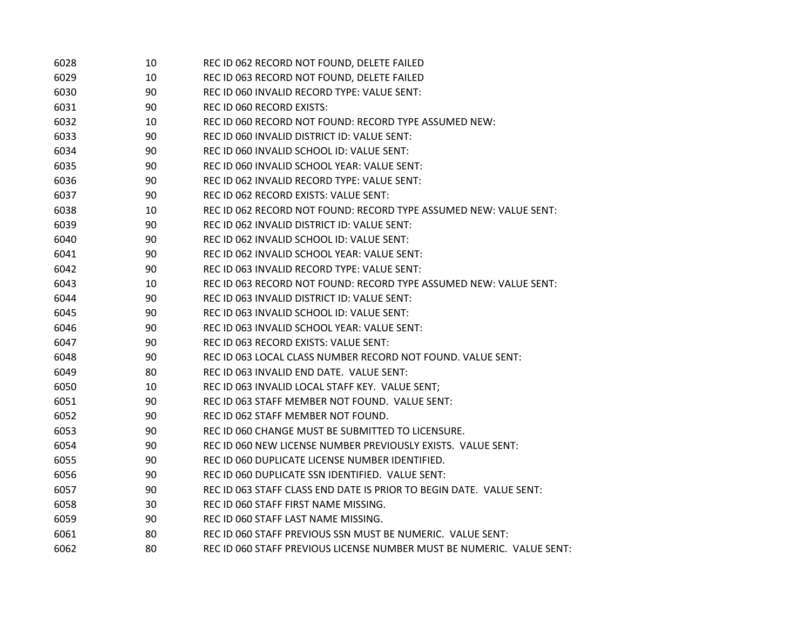| 6028 | 10 | REC ID 062 RECORD NOT FOUND, DELETE FAILED                            |
|------|----|-----------------------------------------------------------------------|
| 6029 | 10 | REC ID 063 RECORD NOT FOUND, DELETE FAILED                            |
| 6030 | 90 | REC ID 060 INVALID RECORD TYPE: VALUE SENT:                           |
| 6031 | 90 | <b>REC ID 060 RECORD EXISTS:</b>                                      |
| 6032 | 10 | REC ID 060 RECORD NOT FOUND: RECORD TYPE ASSUMED NEW:                 |
| 6033 | 90 | REC ID 060 INVALID DISTRICT ID: VALUE SENT:                           |
| 6034 | 90 | REC ID 060 INVALID SCHOOL ID: VALUE SENT:                             |
| 6035 | 90 | REC ID 060 INVALID SCHOOL YEAR: VALUE SENT:                           |
| 6036 | 90 | REC ID 062 INVALID RECORD TYPE: VALUE SENT:                           |
| 6037 | 90 | REC ID 062 RECORD EXISTS: VALUE SENT:                                 |
| 6038 | 10 | REC ID 062 RECORD NOT FOUND: RECORD TYPE ASSUMED NEW: VALUE SENT:     |
| 6039 | 90 | REC ID 062 INVALID DISTRICT ID: VALUE SENT:                           |
| 6040 | 90 | REC ID 062 INVALID SCHOOL ID: VALUE SENT:                             |
| 6041 | 90 | REC ID 062 INVALID SCHOOL YEAR: VALUE SENT:                           |
| 6042 | 90 | REC ID 063 INVALID RECORD TYPE: VALUE SENT:                           |
| 6043 | 10 | REC ID 063 RECORD NOT FOUND: RECORD TYPE ASSUMED NEW: VALUE SENT:     |
| 6044 | 90 | REC ID 063 INVALID DISTRICT ID: VALUE SENT:                           |
| 6045 | 90 | REC ID 063 INVALID SCHOOL ID: VALUE SENT:                             |
| 6046 | 90 | REC ID 063 INVALID SCHOOL YEAR: VALUE SENT:                           |
| 6047 | 90 | REC ID 063 RECORD EXISTS: VALUE SENT:                                 |
| 6048 | 90 | REC ID 063 LOCAL CLASS NUMBER RECORD NOT FOUND. VALUE SENT:           |
| 6049 | 80 | REC ID 063 INVALID END DATE. VALUE SENT:                              |
| 6050 | 10 | REC ID 063 INVALID LOCAL STAFF KEY. VALUE SENT;                       |
| 6051 | 90 | REC ID 063 STAFF MEMBER NOT FOUND. VALUE SENT:                        |
| 6052 | 90 | REC ID 062 STAFF MEMBER NOT FOUND.                                    |
| 6053 | 90 | REC ID 060 CHANGE MUST BE SUBMITTED TO LICENSURE.                     |
| 6054 | 90 | REC ID 060 NEW LICENSE NUMBER PREVIOUSLY EXISTS. VALUE SENT:          |
| 6055 | 90 | REC ID 060 DUPLICATE LICENSE NUMBER IDENTIFIED.                       |
| 6056 | 90 | REC ID 060 DUPLICATE SSN IDENTIFIED. VALUE SENT:                      |
| 6057 | 90 | REC ID 063 STAFF CLASS END DATE IS PRIOR TO BEGIN DATE. VALUE SENT:   |
| 6058 | 30 | REC ID 060 STAFF FIRST NAME MISSING.                                  |
| 6059 | 90 | REC ID 060 STAFF LAST NAME MISSING.                                   |
| 6061 | 80 | REC ID 060 STAFF PREVIOUS SSN MUST BE NUMERIC. VALUE SENT:            |
| 6062 | 80 | REC ID 060 STAFF PREVIOUS LICENSE NUMBER MUST BE NUMERIC. VALUE SENT: |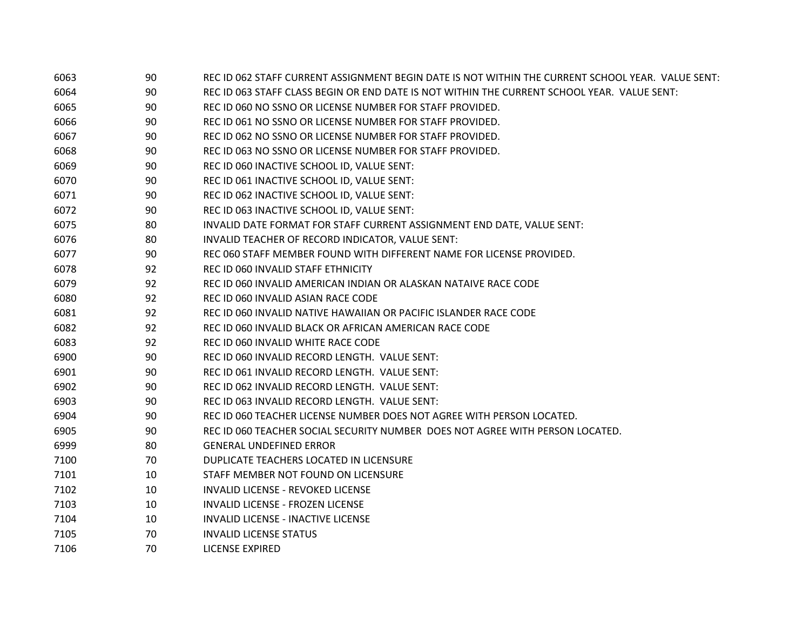| 6063 | 90 | REC ID 062 STAFF CURRENT ASSIGNMENT BEGIN DATE IS NOT WITHIN THE CURRENT SCHOOL YEAR. VALUE SENT:                          |
|------|----|----------------------------------------------------------------------------------------------------------------------------|
| 6064 | 90 | REC ID 063 STAFF CLASS BEGIN OR END DATE IS NOT WITHIN THE CURRENT SCHOOL YEAR. VALUE SENT:                                |
| 6065 | 90 | REC ID 060 NO SSNO OR LICENSE NUMBER FOR STAFF PROVIDED.                                                                   |
| 6066 | 90 | REC ID 061 NO SSNO OR LICENSE NUMBER FOR STAFF PROVIDED.                                                                   |
| 6067 | 90 | REC ID 062 NO SSNO OR LICENSE NUMBER FOR STAFF PROVIDED.                                                                   |
| 6068 | 90 | REC ID 063 NO SSNO OR LICENSE NUMBER FOR STAFF PROVIDED.                                                                   |
| 6069 | 90 | REC ID 060 INACTIVE SCHOOL ID, VALUE SENT:                                                                                 |
| 6070 | 90 | REC ID 061 INACTIVE SCHOOL ID, VALUE SENT:                                                                                 |
| 6071 | 90 | REC ID 062 INACTIVE SCHOOL ID, VALUE SENT:                                                                                 |
| 6072 | 90 | REC ID 063 INACTIVE SCHOOL ID, VALUE SENT:                                                                                 |
| 6075 | 80 |                                                                                                                            |
| 6076 | 80 | INVALID DATE FORMAT FOR STAFF CURRENT ASSIGNMENT END DATE, VALUE SENT:<br>INVALID TEACHER OF RECORD INDICATOR, VALUE SENT: |
| 6077 | 90 | REC 060 STAFF MEMBER FOUND WITH DIFFERENT NAME FOR LICENSE PROVIDED.                                                       |
| 6078 | 92 | REC ID 060 INVALID STAFF ETHNICITY                                                                                         |
|      |    |                                                                                                                            |
| 6079 | 92 | REC ID 060 INVALID AMERICAN INDIAN OR ALASKAN NATAIVE RACE CODE                                                            |
| 6080 | 92 | REC ID 060 INVALID ASIAN RACE CODE                                                                                         |
| 6081 | 92 | REC ID 060 INVALID NATIVE HAWAIIAN OR PACIFIC ISLANDER RACE CODE                                                           |
| 6082 | 92 | REC ID 060 INVALID BLACK OR AFRICAN AMERICAN RACE CODE                                                                     |
| 6083 | 92 | REC ID 060 INVALID WHITE RACE CODE                                                                                         |
| 6900 | 90 | REC ID 060 INVALID RECORD LENGTH. VALUE SENT:                                                                              |
| 6901 | 90 | REC ID 061 INVALID RECORD LENGTH. VALUE SENT:                                                                              |
| 6902 | 90 | REC ID 062 INVALID RECORD LENGTH. VALUE SENT:                                                                              |
| 6903 | 90 | REC ID 063 INVALID RECORD LENGTH. VALUE SENT:                                                                              |
| 6904 | 90 | REC ID 060 TEACHER LICENSE NUMBER DOES NOT AGREE WITH PERSON LOCATED.                                                      |
| 6905 | 90 | REC ID 060 TEACHER SOCIAL SECURITY NUMBER DOES NOT AGREE WITH PERSON LOCATED.                                              |
| 6999 | 80 | <b>GENERAL UNDEFINED ERROR</b>                                                                                             |
| 7100 | 70 | DUPLICATE TEACHERS LOCATED IN LICENSURE                                                                                    |
| 7101 | 10 | STAFF MEMBER NOT FOUND ON LICENSURE                                                                                        |
| 7102 | 10 | <b>INVALID LICENSE - REVOKED LICENSE</b>                                                                                   |
| 7103 | 10 | <b>INVALID LICENSE - FROZEN LICENSE</b>                                                                                    |
| 7104 | 10 | <b>INVALID LICENSE - INACTIVE LICENSE</b>                                                                                  |
| 7105 | 70 | <b>INVALID LICENSE STATUS</b>                                                                                              |
| 7106 | 70 | <b>LICENSE EXPIRED</b>                                                                                                     |